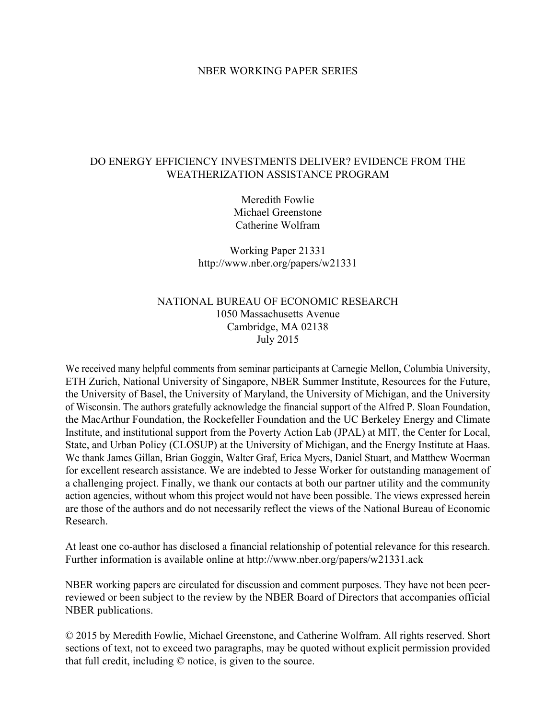## NBER WORKING PAPER SERIES

# DO ENERGY EFFICIENCY INVESTMENTS DELIVER? EVIDENCE FROM THE WEATHERIZATION ASSISTANCE PROGRAM

Meredith Fowlie Michael Greenstone Catherine Wolfram

Working Paper 21331 http://www.nber.org/papers/w21331

# NATIONAL BUREAU OF ECONOMIC RESEARCH 1050 Massachusetts Avenue Cambridge, MA 02138 July 2015

We received many helpful comments from seminar participants at Carnegie Mellon, Columbia University, ETH Zurich, National University of Singapore, NBER Summer Institute, Resources for the Future, the University of Basel, the University of Maryland, the University of Michigan, and the University of Wisconsin. The authors gratefully acknowledge the financial support of the Alfred P. Sloan Foundation, the MacArthur Foundation, the Rockefeller Foundation and the UC Berkeley Energy and Climate Institute, and institutional support from the Poverty Action Lab (JPAL) at MIT, the Center for Local, State, and Urban Policy (CLOSUP) at the University of Michigan, and the Energy Institute at Haas. We thank James Gillan, Brian Goggin, Walter Graf, Erica Myers, Daniel Stuart, and Matthew Woerman for excellent research assistance. We are indebted to Jesse Worker for outstanding management of a challenging project. Finally, we thank our contacts at both our partner utility and the community action agencies, without whom this project would not have been possible. The views expressed herein are those of the authors and do not necessarily reflect the views of the National Bureau of Economic Research.

At least one co-author has disclosed a financial relationship of potential relevance for this research. Further information is available online at http://www.nber.org/papers/w21331.ack

NBER working papers are circulated for discussion and comment purposes. They have not been peerreviewed or been subject to the review by the NBER Board of Directors that accompanies official NBER publications.

© 2015 by Meredith Fowlie, Michael Greenstone, and Catherine Wolfram. All rights reserved. Short sections of text, not to exceed two paragraphs, may be quoted without explicit permission provided that full credit, including © notice, is given to the source.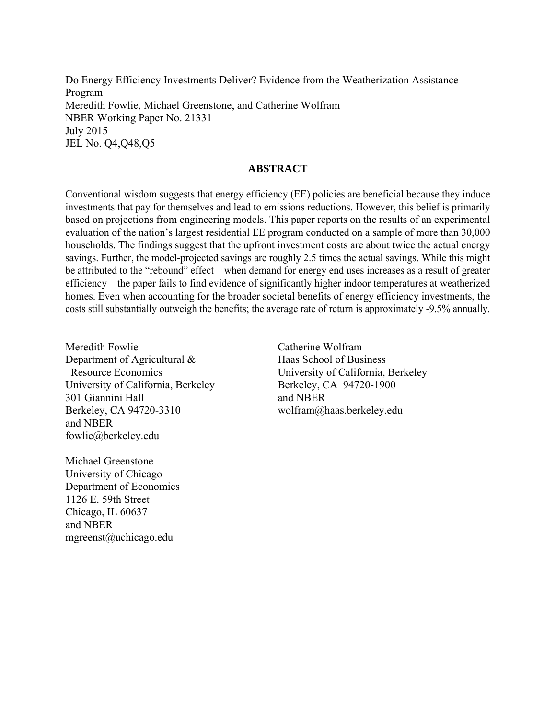Do Energy Efficiency Investments Deliver? Evidence from the Weatherization Assistance Program Meredith Fowlie, Michael Greenstone, and Catherine Wolfram NBER Working Paper No. 21331 July 2015 JEL No. Q4,Q48,Q5

# **ABSTRACT**

Conventional wisdom suggests that energy efficiency (EE) policies are beneficial because they induce investments that pay for themselves and lead to emissions reductions. However, this belief is primarily based on projections from engineering models. This paper reports on the results of an experimental evaluation of the nation's largest residential EE program conducted on a sample of more than 30,000 households. The findings suggest that the upfront investment costs are about twice the actual energy savings. Further, the model-projected savings are roughly 2.5 times the actual savings. While this might be attributed to the "rebound" effect – when demand for energy end uses increases as a result of greater efficiency – the paper fails to find evidence of significantly higher indoor temperatures at weatherized homes. Even when accounting for the broader societal benefits of energy efficiency investments, the costs still substantially outweigh the benefits; the average rate of return is approximately -9.5% annually.

Meredith Fowlie Department of Agricultural & Resource Economics University of California, Berkeley 301 Giannini Hall Berkeley, CA 94720-3310 and NBER fowlie@berkeley.edu

Catherine Wolfram Haas School of Business University of California, Berkeley Berkeley, CA 94720-1900 and NBER wolfram@haas.berkeley.edu

Michael Greenstone University of Chicago Department of Economics 1126 E. 59th Street Chicago, IL 60637 and NBER mgreenst@uchicago.edu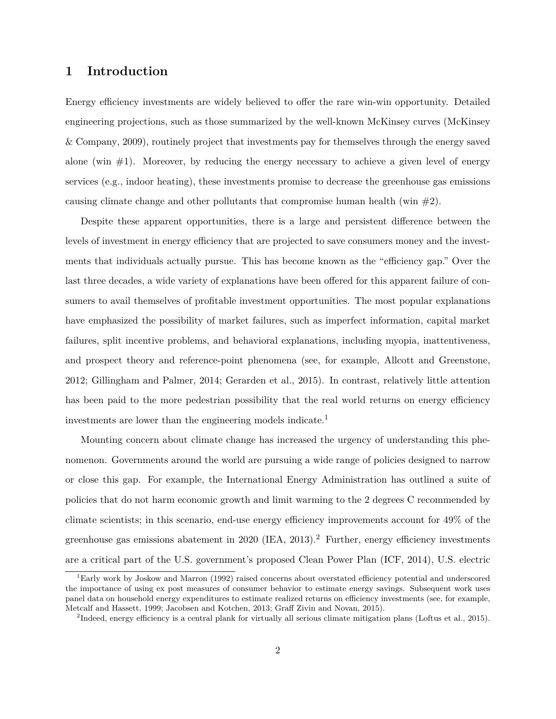# **1 Introduction**

Energy efficiency investments are widely believed to offer the rare win-win opportunity. Detailed engineering projections, such as those summarized by the well-known McKinsey curves (McKinsey & Company, 2009), routinely project that investments pay for themselves through the energy saved alone (win  $\#1$ ). Moreover, by reducing the energy necessary to achieve a given level of energy services (e.g., indoor heating), these investments promise to decrease the greenhouse gas emissions causing climate change and other pollutants that compromise human health (win  $\#2$ ).

Despite these apparent opportunities, there is a large and persistent difference between the levels of investment in energy efficiency that are projected to save consumers money and the investments that individuals actually pursue. This has become known as the "efficiency gap." Over the last three decades, a wide variety of explanations have been offered for this apparent failure of consumers to avail themselves of profitable investment opportunities. The most popular explanations have emphasized the possibility of market failures, such as imperfect information, capital market failures, split incentive problems, and behavioral explanations, including myopia, inattentiveness, and prospect theory and reference-point phenomena (see, for example, Allcott and Greenstone, 2012; Gillingham and Palmer, 2014; Gerarden et al., 2015). In contrast, relatively little attention has been paid to the more pedestrian possibility that the real world returns on energy efficiency investments are lower than the engineering models indicate.<sup>1</sup>

Mounting concern about climate change has increased the urgency of understanding this phenomenon. Governments around the world are pursuing a wide range of policies designed to narrow or close this gap. For example, the International Energy Administration has outlined a suite of policies that do not harm economic growth and limit warming to the 2 degrees C recommended by climate scientists; in this scenario, end-use energy efficiency improvements account for 49% of the greenhouse gas emissions abatement in  $2020$  (IEA,  $2013$ ).<sup>2</sup> Further, energy efficiency investments are a critical part of the U.S. government's proposed Clean Power Plan (ICF, 2014), U.S. electric

<sup>1</sup>Early work by Joskow and Marron (1992) raised concerns about overstated efficiency potential and underscored the importance of using ex post measures of consumer behavior to estimate energy savings. Subsequent work uses panel data on household energy expenditures to estimate realized returns on efficiency investments (see, for example, Metcalf and Hassett, 1999; Jacobsen and Kotchen, 2013; Graff Zivin and Novan, 2015).

<sup>&</sup>lt;sup>2</sup>Indeed, energy efficiency is a central plank for virtually all serious climate mitigation plans (Loftus et al., 2015).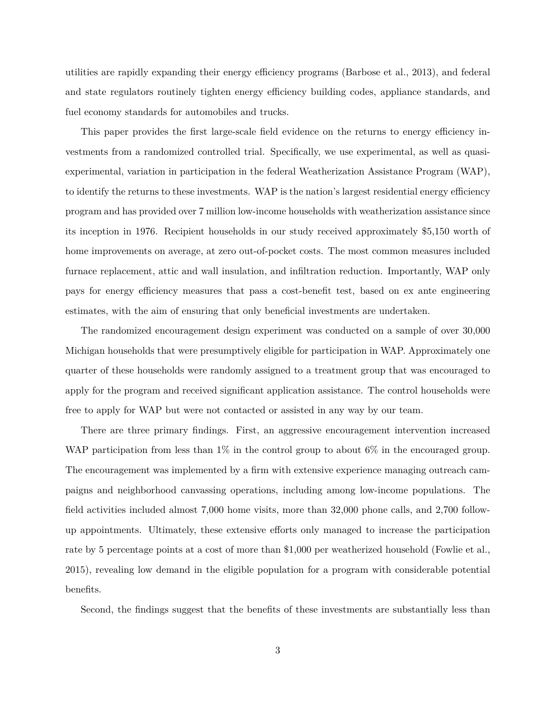utilities are rapidly expanding their energy efficiency programs (Barbose et al., 2013), and federal and state regulators routinely tighten energy efficiency building codes, appliance standards, and fuel economy standards for automobiles and trucks.

This paper provides the first large-scale field evidence on the returns to energy efficiency investments from a randomized controlled trial. Specifically, we use experimental, as well as quasiexperimental, variation in participation in the federal Weatherization Assistance Program (WAP), to identify the returns to these investments. WAP is the nation's largest residential energy efficiency program and has provided over 7 million low-income households with weatherization assistance since its inception in 1976. Recipient households in our study received approximately \$5,150 worth of home improvements on average, at zero out-of-pocket costs. The most common measures included furnace replacement, attic and wall insulation, and infiltration reduction. Importantly, WAP only pays for energy efficiency measures that pass a cost-benefit test, based on ex ante engineering estimates, with the aim of ensuring that only beneficial investments are undertaken.

The randomized encouragement design experiment was conducted on a sample of over 30,000 Michigan households that were presumptively eligible for participation in WAP. Approximately one quarter of these households were randomly assigned to a treatment group that was encouraged to apply for the program and received significant application assistance. The control households were free to apply for WAP but were not contacted or assisted in any way by our team.

There are three primary findings. First, an aggressive encouragement intervention increased WAP participation from less than 1% in the control group to about 6% in the encouraged group. The encouragement was implemented by a firm with extensive experience managing outreach campaigns and neighborhood canvassing operations, including among low-income populations. The field activities included almost 7,000 home visits, more than 32,000 phone calls, and 2,700 followup appointments. Ultimately, these extensive efforts only managed to increase the participation rate by 5 percentage points at a cost of more than \$1,000 per weatherized household (Fowlie et al., 2015), revealing low demand in the eligible population for a program with considerable potential benefits.

Second, the findings suggest that the benefits of these investments are substantially less than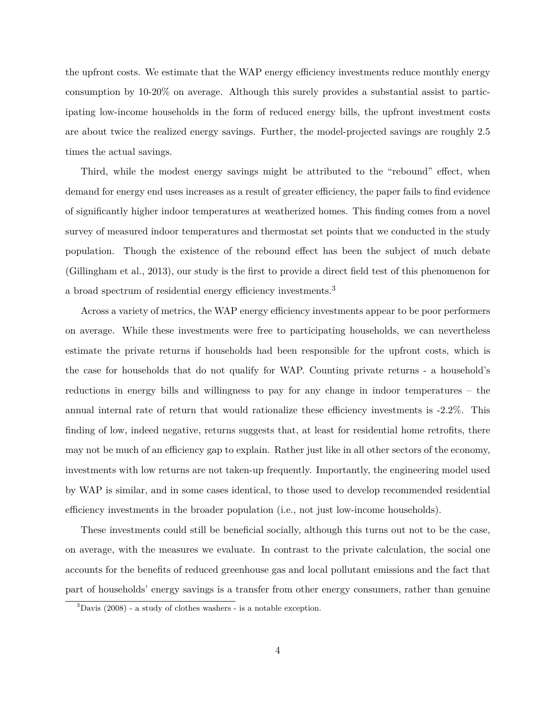the upfront costs. We estimate that the WAP energy efficiency investments reduce monthly energy consumption by 10-20% on average. Although this surely provides a substantial assist to participating low-income households in the form of reduced energy bills, the upfront investment costs are about twice the realized energy savings. Further, the model-projected savings are roughly 2.5 times the actual savings.

Third, while the modest energy savings might be attributed to the "rebound" effect, when demand for energy end uses increases as a result of greater efficiency, the paper fails to find evidence of significantly higher indoor temperatures at weatherized homes. This finding comes from a novel survey of measured indoor temperatures and thermostat set points that we conducted in the study population. Though the existence of the rebound effect has been the subject of much debate (Gillingham et al., 2013), our study is the first to provide a direct field test of this phenomenon for a broad spectrum of residential energy efficiency investments.<sup>3</sup>

Across a variety of metrics, the WAP energy efficiency investments appear to be poor performers on average. While these investments were free to participating households, we can nevertheless estimate the private returns if households had been responsible for the upfront costs, which is the case for households that do not qualify for WAP. Counting private returns - a household's reductions in energy bills and willingness to pay for any change in indoor temperatures – the annual internal rate of return that would rationalize these efficiency investments is -2.2%. This finding of low, indeed negative, returns suggests that, at least for residential home retrofits, there may not be much of an efficiency gap to explain. Rather just like in all other sectors of the economy, investments with low returns are not taken-up frequently. Importantly, the engineering model used by WAP is similar, and in some cases identical, to those used to develop recommended residential efficiency investments in the broader population (i.e., not just low-income households).

These investments could still be beneficial socially, although this turns out not to be the case, on average, with the measures we evaluate. In contrast to the private calculation, the social one accounts for the benefits of reduced greenhouse gas and local pollutant emissions and the fact that part of households' energy savings is a transfer from other energy consumers, rather than genuine

 $3$ Davis (2008) - a study of clothes washers - is a notable exception.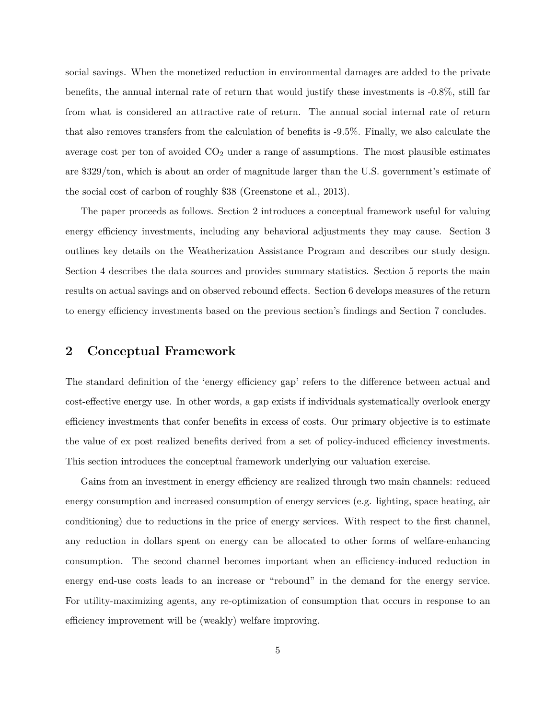social savings. When the monetized reduction in environmental damages are added to the private benefits, the annual internal rate of return that would justify these investments is -0.8%, still far from what is considered an attractive rate of return. The annual social internal rate of return that also removes transfers from the calculation of benefits is -9.5%. Finally, we also calculate the average cost per ton of avoided  $CO<sub>2</sub>$  under a range of assumptions. The most plausible estimates are \$329/ton, which is about an order of magnitude larger than the U.S. government's estimate of the social cost of carbon of roughly \$38 (Greenstone et al., 2013).

The paper proceeds as follows. Section 2 introduces a conceptual framework useful for valuing energy efficiency investments, including any behavioral adjustments they may cause. Section 3 outlines key details on the Weatherization Assistance Program and describes our study design. Section 4 describes the data sources and provides summary statistics. Section 5 reports the main results on actual savings and on observed rebound effects. Section 6 develops measures of the return to energy efficiency investments based on the previous section's findings and Section 7 concludes.

# **2 Conceptual Framework**

The standard definition of the 'energy efficiency gap' refers to the difference between actual and cost-effective energy use. In other words, a gap exists if individuals systematically overlook energy efficiency investments that confer benefits in excess of costs. Our primary objective is to estimate the value of ex post realized benefits derived from a set of policy-induced efficiency investments. This section introduces the conceptual framework underlying our valuation exercise.

Gains from an investment in energy efficiency are realized through two main channels: reduced energy consumption and increased consumption of energy services (e.g. lighting, space heating, air conditioning) due to reductions in the price of energy services. With respect to the first channel, any reduction in dollars spent on energy can be allocated to other forms of welfare-enhancing consumption. The second channel becomes important when an efficiency-induced reduction in energy end-use costs leads to an increase or "rebound" in the demand for the energy service. For utility-maximizing agents, any re-optimization of consumption that occurs in response to an efficiency improvement will be (weakly) welfare improving.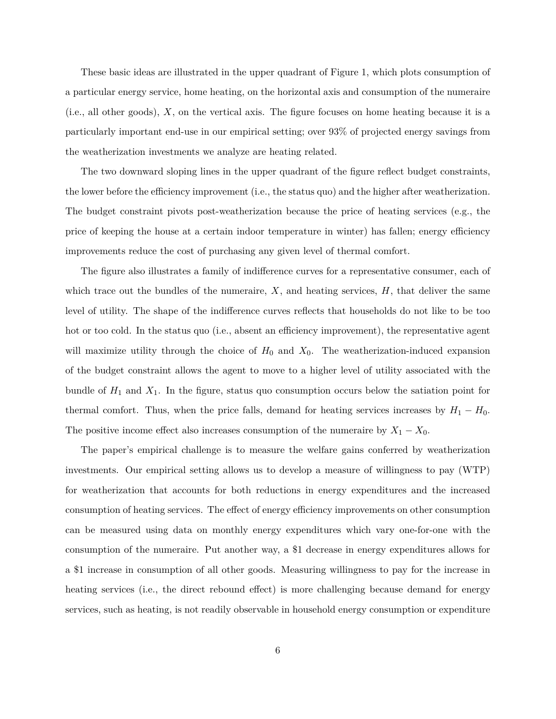These basic ideas are illustrated in the upper quadrant of Figure 1, which plots consumption of a particular energy service, home heating, on the horizontal axis and consumption of the numeraire (i.e., all other goods), *X*, on the vertical axis. The figure focuses on home heating because it is a particularly important end-use in our empirical setting; over 93% of projected energy savings from the weatherization investments we analyze are heating related.

The two downward sloping lines in the upper quadrant of the figure reflect budget constraints, the lower before the efficiency improvement (i.e., the status quo) and the higher after weatherization. The budget constraint pivots post-weatherization because the price of heating services (e.g., the price of keeping the house at a certain indoor temperature in winter) has fallen; energy efficiency improvements reduce the cost of purchasing any given level of thermal comfort.

The figure also illustrates a family of indifference curves for a representative consumer, each of which trace out the bundles of the numeraire,  $X$ , and heating services,  $H$ , that deliver the same level of utility. The shape of the indifference curves reflects that households do not like to be too hot or too cold. In the status quo (i.e., absent an efficiency improvement), the representative agent will maximize utility through the choice of  $H_0$  and  $X_0$ . The weatherization-induced expansion of the budget constraint allows the agent to move to a higher level of utility associated with the bundle of  $H_1$  and  $X_1$ . In the figure, status quo consumption occurs below the satiation point for thermal comfort. Thus, when the price falls, demand for heating services increases by  $H_1 - H_0$ . The positive income effect also increases consumption of the numeraire by  $X_1 - X_0$ .

The paper's empirical challenge is to measure the welfare gains conferred by weatherization investments. Our empirical setting allows us to develop a measure of willingness to pay (WTP) for weatherization that accounts for both reductions in energy expenditures and the increased consumption of heating services. The effect of energy efficiency improvements on other consumption can be measured using data on monthly energy expenditures which vary one-for-one with the consumption of the numeraire. Put another way, a \$1 decrease in energy expenditures allows for a \$1 increase in consumption of all other goods. Measuring willingness to pay for the increase in heating services (i.e., the direct rebound effect) is more challenging because demand for energy services, such as heating, is not readily observable in household energy consumption or expenditure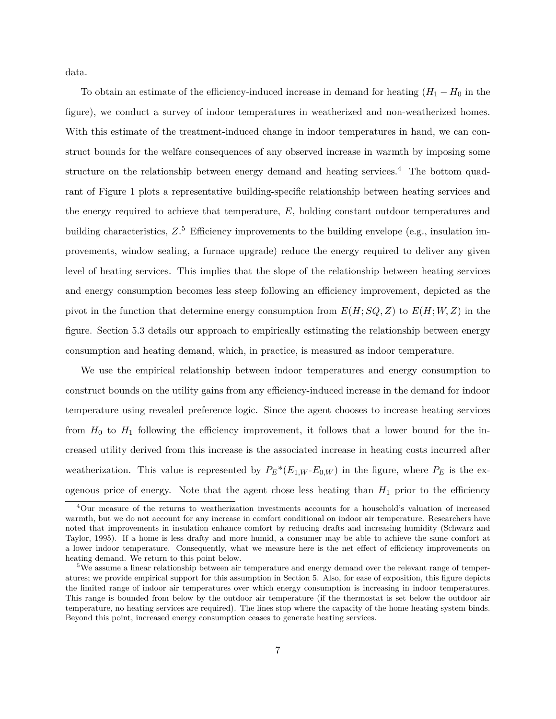data.

To obtain an estimate of the efficiency-induced increase in demand for heating  $(H_1 - H_0)$  in the figure), we conduct a survey of indoor temperatures in weatherized and non-weatherized homes. With this estimate of the treatment-induced change in indoor temperatures in hand, we can construct bounds for the welfare consequences of any observed increase in warmth by imposing some structure on the relationship between energy demand and heating services.<sup>4</sup> The bottom quadrant of Figure 1 plots a representative building-specific relationship between heating services and the energy required to achieve that temperature, *E*, holding constant outdoor temperatures and building characteristics,  $Z^5$  Efficiency improvements to the building envelope (e.g., insulation improvements, window sealing, a furnace upgrade) reduce the energy required to deliver any given level of heating services. This implies that the slope of the relationship between heating services and energy consumption becomes less steep following an efficiency improvement, depicted as the pivot in the function that determine energy consumption from  $E(H; SQ, Z)$  to  $E(H; W, Z)$  in the figure. Section 5.3 details our approach to empirically estimating the relationship between energy consumption and heating demand, which, in practice, is measured as indoor temperature.

We use the empirical relationship between indoor temperatures and energy consumption to construct bounds on the utility gains from any efficiency-induced increase in the demand for indoor temperature using revealed preference logic. Since the agent chooses to increase heating services from  $H_0$  to  $H_1$  following the efficiency improvement, it follows that a lower bound for the increased utility derived from this increase is the associated increase in heating costs incurred after weatherization. This value is represented by  $P_E^*(E_{1,W} \text{-} E_{0,W})$  in the figure, where  $P_E$  is the exogenous price of energy. Note that the agent chose less heating than  $H_1$  prior to the efficiency

<sup>4</sup>Our measure of the returns to weatherization investments accounts for a household's valuation of increased warmth, but we do not account for any increase in comfort conditional on indoor air temperature. Researchers have noted that improvements in insulation enhance comfort by reducing drafts and increasing humidity (Schwarz and Taylor, 1995). If a home is less drafty and more humid, a consumer may be able to achieve the same comfort at a lower indoor temperature. Consequently, what we measure here is the net effect of efficiency improvements on heating demand. We return to this point below.

<sup>&</sup>lt;sup>5</sup>We assume a linear relationship between air temperature and energy demand over the relevant range of temperatures; we provide empirical support for this assumption in Section 5. Also, for ease of exposition, this figure depicts the limited range of indoor air temperatures over which energy consumption is increasing in indoor temperatures. This range is bounded from below by the outdoor air temperature (if the thermostat is set below the outdoor air temperature, no heating services are required). The lines stop where the capacity of the home heating system binds. Beyond this point, increased energy consumption ceases to generate heating services.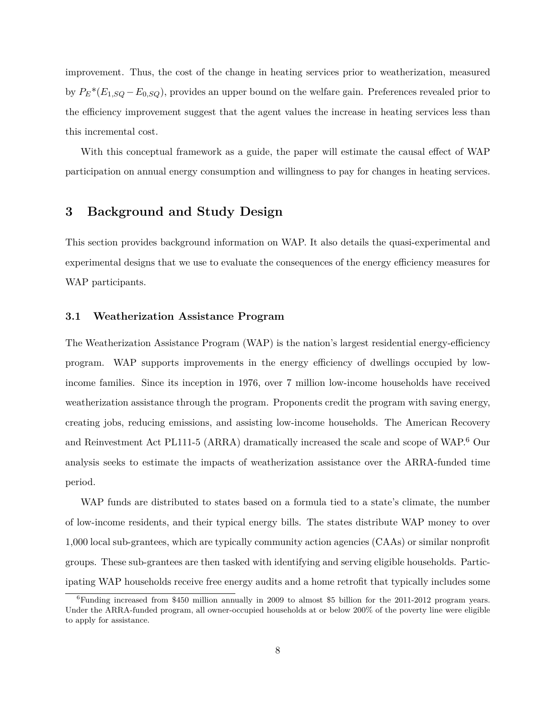improvement. Thus, the cost of the change in heating services prior to weatherization, measured by  $P_E^*(E_{1,SQ} - E_{0,SQ})$ , provides an upper bound on the welfare gain. Preferences revealed prior to the efficiency improvement suggest that the agent values the increase in heating services less than this incremental cost.

With this conceptual framework as a guide, the paper will estimate the causal effect of WAP participation on annual energy consumption and willingness to pay for changes in heating services.

# **3 Background and Study Design**

This section provides background information on WAP. It also details the quasi-experimental and experimental designs that we use to evaluate the consequences of the energy efficiency measures for WAP participants.

## **3.1 Weatherization Assistance Program**

The Weatherization Assistance Program (WAP) is the nation's largest residential energy-efficiency program. WAP supports improvements in the energy efficiency of dwellings occupied by lowincome families. Since its inception in 1976, over 7 million low-income households have received weatherization assistance through the program. Proponents credit the program with saving energy, creating jobs, reducing emissions, and assisting low-income households. The American Recovery and Reinvestment Act PL111-5 (ARRA) dramatically increased the scale and scope of WAP.<sup>6</sup> Our analysis seeks to estimate the impacts of weatherization assistance over the ARRA-funded time period.

WAP funds are distributed to states based on a formula tied to a state's climate, the number of low-income residents, and their typical energy bills. The states distribute WAP money to over 1,000 local sub-grantees, which are typically community action agencies (CAAs) or similar nonprofit groups. These sub-grantees are then tasked with identifying and serving eligible households. Participating WAP households receive free energy audits and a home retrofit that typically includes some

 $6$ Funding increased from \$450 million annually in 2009 to almost \$5 billion for the 2011-2012 program years. Under the ARRA-funded program, all owner-occupied households at or below 200% of the poverty line were eligible to apply for assistance.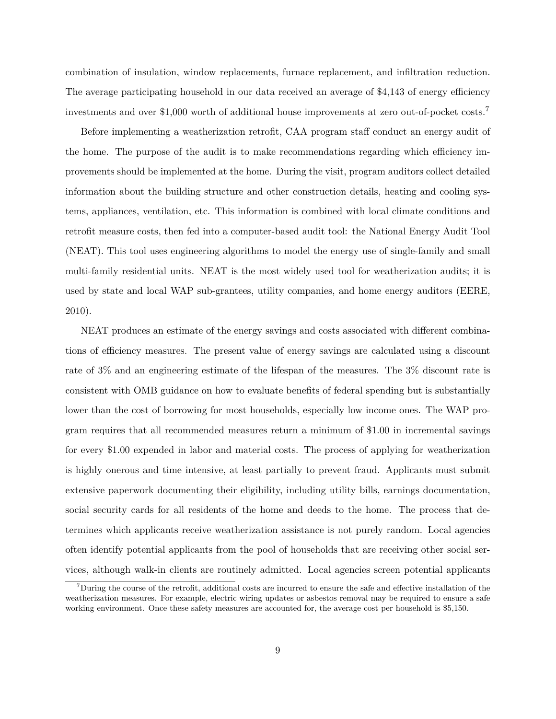combination of insulation, window replacements, furnace replacement, and infiltration reduction. The average participating household in our data received an average of \$4,143 of energy efficiency investments and over \$1,000 worth of additional house improvements at zero out-of-pocket costs.<sup>7</sup>

Before implementing a weatherization retrofit, CAA program staff conduct an energy audit of the home. The purpose of the audit is to make recommendations regarding which efficiency improvements should be implemented at the home. During the visit, program auditors collect detailed information about the building structure and other construction details, heating and cooling systems, appliances, ventilation, etc. This information is combined with local climate conditions and retrofit measure costs, then fed into a computer-based audit tool: the National Energy Audit Tool (NEAT). This tool uses engineering algorithms to model the energy use of single-family and small multi-family residential units. NEAT is the most widely used tool for weatherization audits; it is used by state and local WAP sub-grantees, utility companies, and home energy auditors (EERE, 2010).

NEAT produces an estimate of the energy savings and costs associated with different combinations of efficiency measures. The present value of energy savings are calculated using a discount rate of 3% and an engineering estimate of the lifespan of the measures. The 3% discount rate is consistent with OMB guidance on how to evaluate benefits of federal spending but is substantially lower than the cost of borrowing for most households, especially low income ones. The WAP program requires that all recommended measures return a minimum of \$1.00 in incremental savings for every \$1.00 expended in labor and material costs. The process of applying for weatherization is highly onerous and time intensive, at least partially to prevent fraud. Applicants must submit extensive paperwork documenting their eligibility, including utility bills, earnings documentation, social security cards for all residents of the home and deeds to the home. The process that determines which applicants receive weatherization assistance is not purely random. Local agencies often identify potential applicants from the pool of households that are receiving other social services, although walk-in clients are routinely admitted. Local agencies screen potential applicants

<sup>7</sup>During the course of the retrofit, additional costs are incurred to ensure the safe and effective installation of the weatherization measures. For example, electric wiring updates or asbestos removal may be required to ensure a safe working environment. Once these safety measures are accounted for, the average cost per household is \$5,150.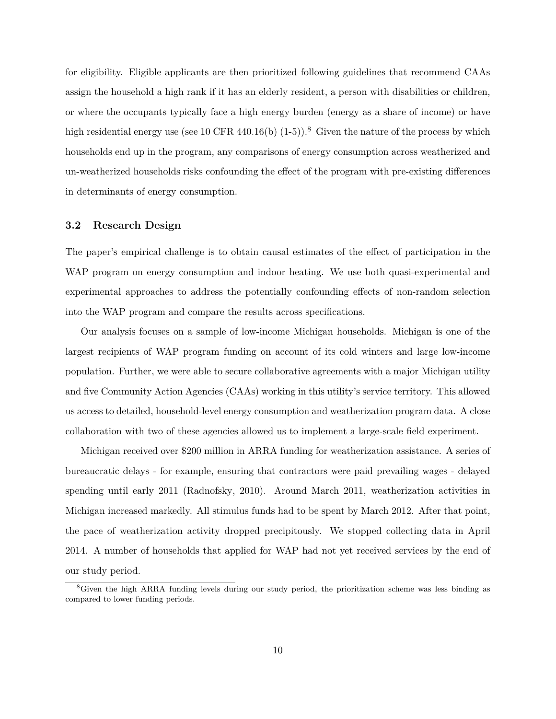for eligibility. Eligible applicants are then prioritized following guidelines that recommend CAAs assign the household a high rank if it has an elderly resident, a person with disabilities or children, or where the occupants typically face a high energy burden (energy as a share of income) or have high residential energy use (see 10 CFR 440.16(b)  $(1-5)$ ).<sup>8</sup> Given the nature of the process by which households end up in the program, any comparisons of energy consumption across weatherized and un-weatherized households risks confounding the effect of the program with pre-existing differences in determinants of energy consumption.

## **3.2 Research Design**

The paper's empirical challenge is to obtain causal estimates of the effect of participation in the WAP program on energy consumption and indoor heating. We use both quasi-experimental and experimental approaches to address the potentially confounding effects of non-random selection into the WAP program and compare the results across specifications.

Our analysis focuses on a sample of low-income Michigan households. Michigan is one of the largest recipients of WAP program funding on account of its cold winters and large low-income population. Further, we were able to secure collaborative agreements with a major Michigan utility and five Community Action Agencies (CAAs) working in this utility's service territory. This allowed us access to detailed, household-level energy consumption and weatherization program data. A close collaboration with two of these agencies allowed us to implement a large-scale field experiment.

Michigan received over \$200 million in ARRA funding for weatherization assistance. A series of bureaucratic delays - for example, ensuring that contractors were paid prevailing wages - delayed spending until early 2011 (Radnofsky, 2010). Around March 2011, weatherization activities in Michigan increased markedly. All stimulus funds had to be spent by March 2012. After that point, the pace of weatherization activity dropped precipitously. We stopped collecting data in April 2014. A number of households that applied for WAP had not yet received services by the end of our study period.

<sup>8</sup>Given the high ARRA funding levels during our study period, the prioritization scheme was less binding as compared to lower funding periods.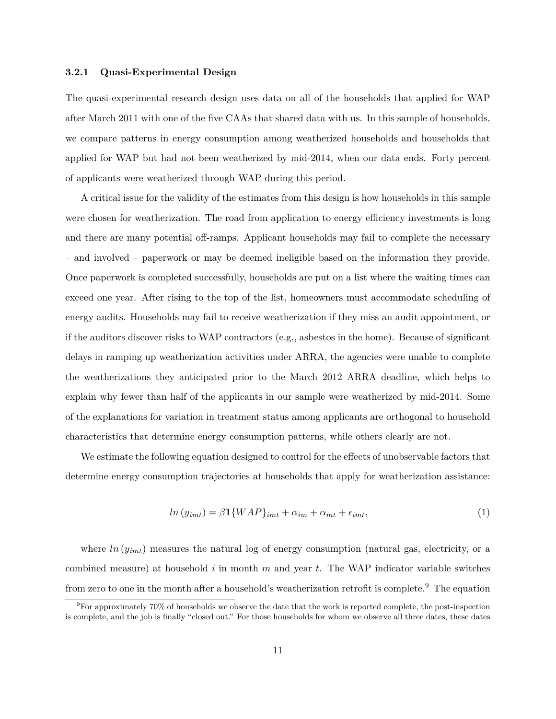#### **3.2.1 Quasi-Experimental Design**

The quasi-experimental research design uses data on all of the households that applied for WAP after March 2011 with one of the five CAAs that shared data with us. In this sample of households, we compare patterns in energy consumption among weatherized households and households that applied for WAP but had not been weatherized by mid-2014, when our data ends. Forty percent of applicants were weatherized through WAP during this period.

A critical issue for the validity of the estimates from this design is how households in this sample were chosen for weatherization. The road from application to energy efficiency investments is long and there are many potential off-ramps. Applicant households may fail to complete the necessary – and involved – paperwork or may be deemed ineligible based on the information they provide. Once paperwork is completed successfully, households are put on a list where the waiting times can exceed one year. After rising to the top of the list, homeowners must accommodate scheduling of energy audits. Households may fail to receive weatherization if they miss an audit appointment, or if the auditors discover risks to WAP contractors (e.g., asbestos in the home). Because of significant delays in ramping up weatherization activities under ARRA, the agencies were unable to complete the weatherizations they anticipated prior to the March 2012 ARRA deadline, which helps to explain why fewer than half of the applicants in our sample were weatherized by mid-2014. Some of the explanations for variation in treatment status among applicants are orthogonal to household characteristics that determine energy consumption patterns, while others clearly are not.

We estimate the following equation designed to control for the effects of unobservable factors that determine energy consumption trajectories at households that apply for weatherization assistance:

$$
ln (y_{imt}) = \beta \mathbf{1} \{WAP\}_{imt} + \alpha_{im} + \alpha_{mt} + \epsilon_{imt}, \tag{1}
$$

where  $ln(y_{imt})$  measures the natural log of energy consumption (natural gas, electricity, or a combined measure) at household *i* in month *m* and year *t*. The WAP indicator variable switches from zero to one in the month after a household's weatherization retrofit is complete.<sup>9</sup> The equation

 $9$ For approximately 70% of households we observe the date that the work is reported complete, the post-inspection is complete, and the job is finally "closed out." For those households for whom we observe all three dates, these dates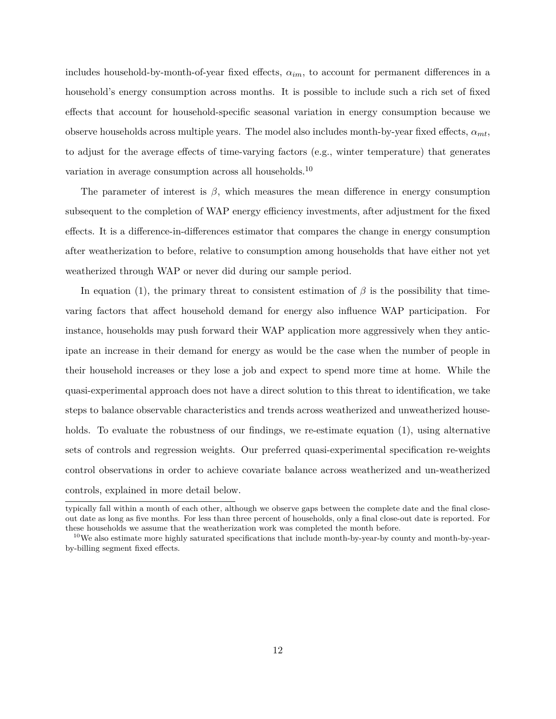includes household-by-month-of-year fixed effects, *αim*, to account for permanent differences in a household's energy consumption across months. It is possible to include such a rich set of fixed effects that account for household-specific seasonal variation in energy consumption because we observe households across multiple years. The model also includes month-by-year fixed effects,  $\alpha_{mt}$ , to adjust for the average effects of time-varying factors (e.g., winter temperature) that generates variation in average consumption across all households.<sup>10</sup>

The parameter of interest is  $\beta$ , which measures the mean difference in energy consumption subsequent to the completion of WAP energy efficiency investments, after adjustment for the fixed effects. It is a difference-in-differences estimator that compares the change in energy consumption after weatherization to before, relative to consumption among households that have either not yet weatherized through WAP or never did during our sample period.

In equation (1), the primary threat to consistent estimation of  $\beta$  is the possibility that timevaring factors that affect household demand for energy also influence WAP participation. For instance, households may push forward their WAP application more aggressively when they anticipate an increase in their demand for energy as would be the case when the number of people in their household increases or they lose a job and expect to spend more time at home. While the quasi-experimental approach does not have a direct solution to this threat to identification, we take steps to balance observable characteristics and trends across weatherized and unweatherized households. To evaluate the robustness of our findings, we re-estimate equation (1), using alternative sets of controls and regression weights. Our preferred quasi-experimental specification re-weights control observations in order to achieve covariate balance across weatherized and un-weatherized controls, explained in more detail below.

typically fall within a month of each other, although we observe gaps between the complete date and the final closeout date as long as five months. For less than three percent of households, only a final close-out date is reported. For these households we assume that the weatherization work was completed the month before.

<sup>10</sup>We also estimate more highly saturated specifications that include month-by-year-by county and month-by-yearby-billing segment fixed effects.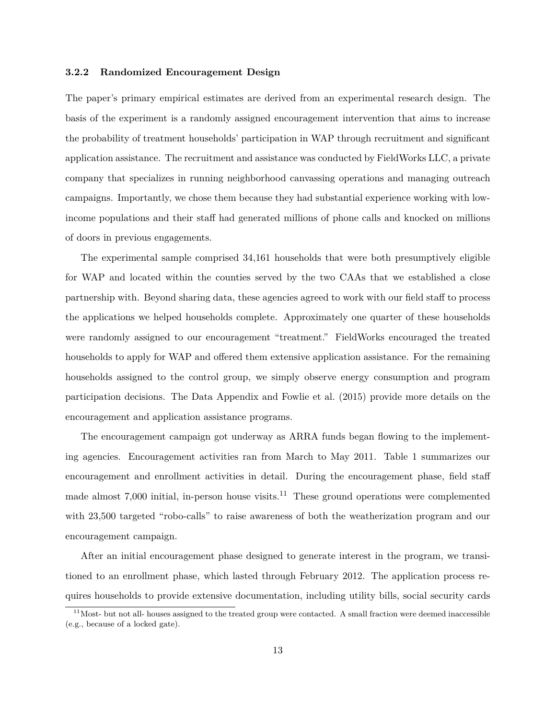#### **3.2.2 Randomized Encouragement Design**

The paper's primary empirical estimates are derived from an experimental research design. The basis of the experiment is a randomly assigned encouragement intervention that aims to increase the probability of treatment households' participation in WAP through recruitment and significant application assistance. The recruitment and assistance was conducted by FieldWorks LLC, a private company that specializes in running neighborhood canvassing operations and managing outreach campaigns. Importantly, we chose them because they had substantial experience working with lowincome populations and their staff had generated millions of phone calls and knocked on millions of doors in previous engagements.

The experimental sample comprised 34,161 households that were both presumptively eligible for WAP and located within the counties served by the two CAAs that we established a close partnership with. Beyond sharing data, these agencies agreed to work with our field staff to process the applications we helped households complete. Approximately one quarter of these households were randomly assigned to our encouragement "treatment." FieldWorks encouraged the treated households to apply for WAP and offered them extensive application assistance. For the remaining households assigned to the control group, we simply observe energy consumption and program participation decisions. The Data Appendix and Fowlie et al. (2015) provide more details on the encouragement and application assistance programs.

The encouragement campaign got underway as ARRA funds began flowing to the implementing agencies. Encouragement activities ran from March to May 2011. Table 1 summarizes our encouragement and enrollment activities in detail. During the encouragement phase, field staff made almost  $7,000$  initial, in-person house visits.<sup>11</sup> These ground operations were complemented with 23,500 targeted "robo-calls" to raise awareness of both the weatherization program and our encouragement campaign.

After an initial encouragement phase designed to generate interest in the program, we transitioned to an enrollment phase, which lasted through February 2012. The application process requires households to provide extensive documentation, including utility bills, social security cards

 $11$ Most- but not all- houses assigned to the treated group were contacted. A small fraction were deemed inaccessible (e.g., because of a locked gate).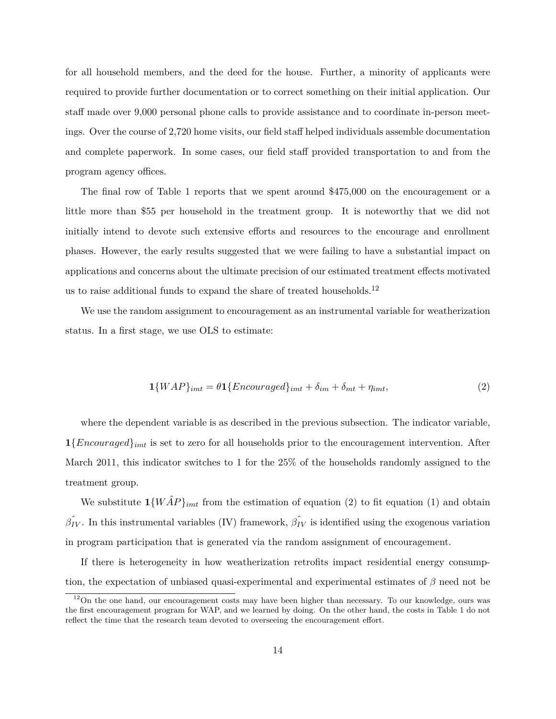for all household members, and the deed for the house. Further, a minority of applicants were required to provide further documentation or to correct something on their initial application. Our staff made over 9,000 personal phone calls to provide assistance and to coordinate in-person meetings. Over the course of 2,720 home visits, our field staff helped individuals assemble documentation and complete paperwork. In some cases, our field staff provided transportation to and from the program agency offices.

The final row of Table 1 reports that we spent around \$475,000 on the encouragement or a little more than \$55 per household in the treatment group. It is noteworthy that we did not initially intend to devote such extensive efforts and resources to the encourage and enrollment phases. However, the early results suggested that we were failing to have a substantial impact on applications and concerns about the ultimate precision of our estimated treatment effects motivated us to raise additional funds to expand the share of treated households.<sup>12</sup>

We use the random assignment to encouragement as an instrumental variable for weatherization status. In a first stage, we use OLS to estimate:

$$
\mathbf{1}\{WAP\}_{imt} = \theta \mathbf{1}\{Encouraged\}_{imt} + \delta_{im} + \delta_{mt} + \eta_{imt},\tag{2}
$$

where the dependent variable is as described in the previous subsection. The indicator variable, **1**{*Encouraged*}*imt* is set to zero for all households prior to the encouragement intervention. After March 2011, this indicator switches to 1 for the 25% of the households randomly assigned to the treatment group.

We substitute  $\mathbf{1}\{W\hat{A}P\}_{imt}$  from the estimation of equation (2) to fit equation (1) and obtain  $\hat{\beta}_{IV}$ . In this instrumental variables (IV) framework,  $\hat{\beta}_{IV}$  is identified using the exogenous variation in program participation that is generated via the random assignment of encouragement.

If there is heterogeneity in how weatherization retrofits impact residential energy consumption, the expectation of unbiased quasi-experimental and experimental estimates of *β* need not be

 $12$ On the one hand, our encouragement costs may have been higher than necessary. To our knowledge, ours was the first encouragement program for WAP, and we learned by doing. On the other hand, the costs in Table 1 do not reflect the time that the research team devoted to overseeing the encouragement effort.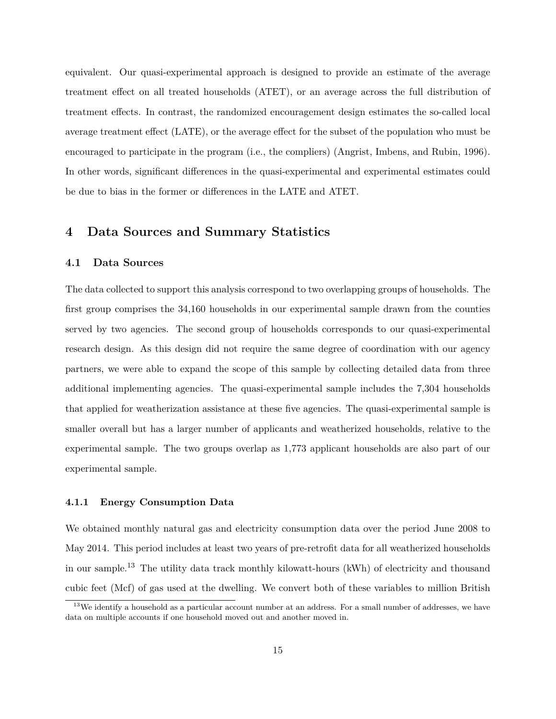equivalent. Our quasi-experimental approach is designed to provide an estimate of the average treatment effect on all treated households (ATET), or an average across the full distribution of treatment effects. In contrast, the randomized encouragement design estimates the so-called local average treatment effect (LATE), or the average effect for the subset of the population who must be encouraged to participate in the program (i.e., the compliers) (Angrist, Imbens, and Rubin, 1996). In other words, significant differences in the quasi-experimental and experimental estimates could be due to bias in the former or differences in the LATE and ATET.

# **4 Data Sources and Summary Statistics**

#### **4.1 Data Sources**

The data collected to support this analysis correspond to two overlapping groups of households. The first group comprises the 34,160 households in our experimental sample drawn from the counties served by two agencies. The second group of households corresponds to our quasi-experimental research design. As this design did not require the same degree of coordination with our agency partners, we were able to expand the scope of this sample by collecting detailed data from three additional implementing agencies. The quasi-experimental sample includes the 7,304 households that applied for weatherization assistance at these five agencies. The quasi-experimental sample is smaller overall but has a larger number of applicants and weatherized households, relative to the experimental sample. The two groups overlap as 1,773 applicant households are also part of our experimental sample.

#### **4.1.1 Energy Consumption Data**

We obtained monthly natural gas and electricity consumption data over the period June 2008 to May 2014. This period includes at least two years of pre-retrofit data for all weatherized households in our sample.<sup>13</sup> The utility data track monthly kilowatt-hours (kWh) of electricity and thousand cubic feet (Mcf) of gas used at the dwelling. We convert both of these variables to million British

 $13$ We identify a household as a particular account number at an address. For a small number of addresses, we have data on multiple accounts if one household moved out and another moved in.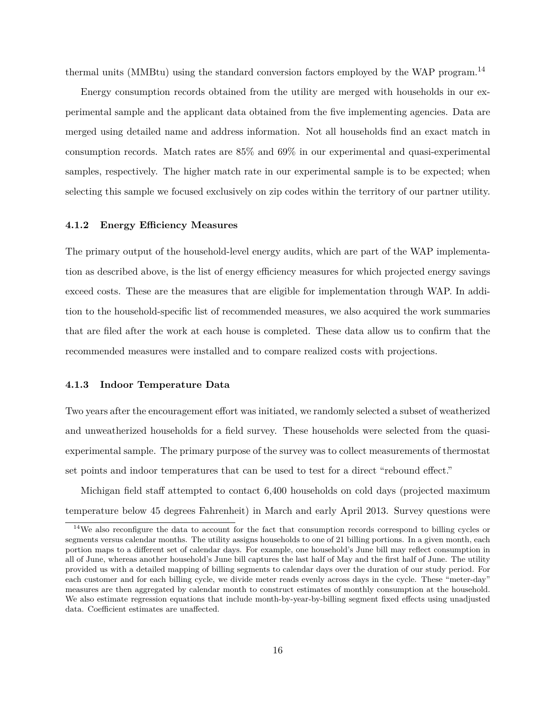thermal units (MMBtu) using the standard conversion factors employed by the WAP program.<sup>14</sup>

Energy consumption records obtained from the utility are merged with households in our experimental sample and the applicant data obtained from the five implementing agencies. Data are merged using detailed name and address information. Not all households find an exact match in consumption records. Match rates are 85% and 69% in our experimental and quasi-experimental samples, respectively. The higher match rate in our experimental sample is to be expected; when selecting this sample we focused exclusively on zip codes within the territory of our partner utility.

### **4.1.2 Energy Efficiency Measures**

The primary output of the household-level energy audits, which are part of the WAP implementation as described above, is the list of energy efficiency measures for which projected energy savings exceed costs. These are the measures that are eligible for implementation through WAP. In addition to the household-specific list of recommended measures, we also acquired the work summaries that are filed after the work at each house is completed. These data allow us to confirm that the recommended measures were installed and to compare realized costs with projections.

#### **4.1.3 Indoor Temperature Data**

Two years after the encouragement effort was initiated, we randomly selected a subset of weatherized and unweatherized households for a field survey. These households were selected from the quasiexperimental sample. The primary purpose of the survey was to collect measurements of thermostat set points and indoor temperatures that can be used to test for a direct "rebound effect."

Michigan field staff attempted to contact 6,400 households on cold days (projected maximum temperature below 45 degrees Fahrenheit) in March and early April 2013. Survey questions were

<sup>&</sup>lt;sup>14</sup>We also reconfigure the data to account for the fact that consumption records correspond to billing cycles or segments versus calendar months. The utility assigns households to one of 21 billing portions. In a given month, each portion maps to a different set of calendar days. For example, one household's June bill may reflect consumption in all of June, whereas another household's June bill captures the last half of May and the first half of June. The utility provided us with a detailed mapping of billing segments to calendar days over the duration of our study period. For each customer and for each billing cycle, we divide meter reads evenly across days in the cycle. These "meter-day" measures are then aggregated by calendar month to construct estimates of monthly consumption at the household. We also estimate regression equations that include month-by-year-by-billing segment fixed effects using unadjusted data. Coefficient estimates are unaffected.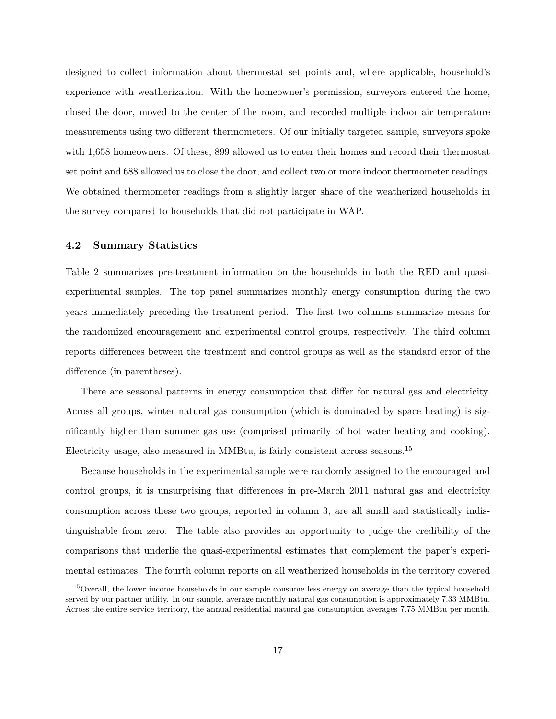designed to collect information about thermostat set points and, where applicable, household's experience with weatherization. With the homeowner's permission, surveyors entered the home, closed the door, moved to the center of the room, and recorded multiple indoor air temperature measurements using two different thermometers. Of our initially targeted sample, surveyors spoke with 1,658 homeowners. Of these, 899 allowed us to enter their homes and record their thermostat set point and 688 allowed us to close the door, and collect two or more indoor thermometer readings. We obtained thermometer readings from a slightly larger share of the weatherized households in the survey compared to households that did not participate in WAP.

## **4.2 Summary Statistics**

Table 2 summarizes pre-treatment information on the households in both the RED and quasiexperimental samples. The top panel summarizes monthly energy consumption during the two years immediately preceding the treatment period. The first two columns summarize means for the randomized encouragement and experimental control groups, respectively. The third column reports differences between the treatment and control groups as well as the standard error of the difference (in parentheses).

There are seasonal patterns in energy consumption that differ for natural gas and electricity. Across all groups, winter natural gas consumption (which is dominated by space heating) is significantly higher than summer gas use (comprised primarily of hot water heating and cooking). Electricity usage, also measured in MMBtu, is fairly consistent across seasons.<sup>15</sup>

Because households in the experimental sample were randomly assigned to the encouraged and control groups, it is unsurprising that differences in pre-March 2011 natural gas and electricity consumption across these two groups, reported in column 3, are all small and statistically indistinguishable from zero. The table also provides an opportunity to judge the credibility of the comparisons that underlie the quasi-experimental estimates that complement the paper's experimental estimates. The fourth column reports on all weatherized households in the territory covered

<sup>15</sup>Overall, the lower income households in our sample consume less energy on average than the typical household served by our partner utility. In our sample, average monthly natural gas consumption is approximately 7.33 MMBtu. Across the entire service territory, the annual residential natural gas consumption averages 7.75 MMBtu per month.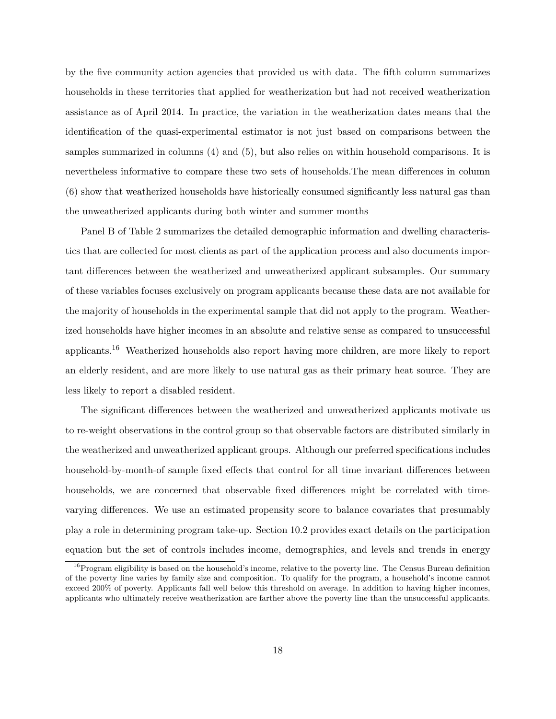by the five community action agencies that provided us with data. The fifth column summarizes households in these territories that applied for weatherization but had not received weatherization assistance as of April 2014. In practice, the variation in the weatherization dates means that the identification of the quasi-experimental estimator is not just based on comparisons between the samples summarized in columns (4) and (5), but also relies on within household comparisons. It is nevertheless informative to compare these two sets of households.The mean differences in column (6) show that weatherized households have historically consumed significantly less natural gas than the unweatherized applicants during both winter and summer months

Panel B of Table 2 summarizes the detailed demographic information and dwelling characteristics that are collected for most clients as part of the application process and also documents important differences between the weatherized and unweatherized applicant subsamples. Our summary of these variables focuses exclusively on program applicants because these data are not available for the majority of households in the experimental sample that did not apply to the program. Weatherized households have higher incomes in an absolute and relative sense as compared to unsuccessful applicants.<sup>16</sup> Weatherized households also report having more children, are more likely to report an elderly resident, and are more likely to use natural gas as their primary heat source. They are less likely to report a disabled resident.

The significant differences between the weatherized and unweatherized applicants motivate us to re-weight observations in the control group so that observable factors are distributed similarly in the weatherized and unweatherized applicant groups. Although our preferred specifications includes household-by-month-of sample fixed effects that control for all time invariant differences between households, we are concerned that observable fixed differences might be correlated with timevarying differences. We use an estimated propensity score to balance covariates that presumably play a role in determining program take-up. Section 10.2 provides exact details on the participation equation but the set of controls includes income, demographics, and levels and trends in energy

 $16P$  Program eligibility is based on the household's income, relative to the poverty line. The Census Bureau definition of the poverty line varies by family size and composition. To qualify for the program, a household's income cannot exceed 200% of poverty. Applicants fall well below this threshold on average. In addition to having higher incomes, applicants who ultimately receive weatherization are farther above the poverty line than the unsuccessful applicants.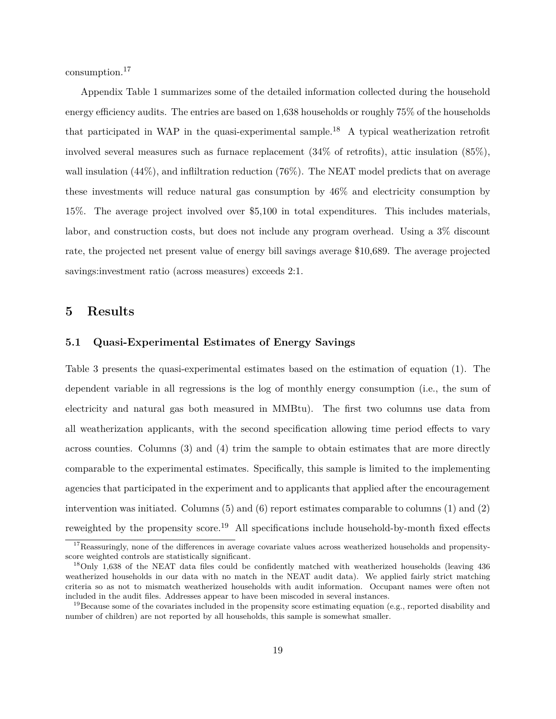consumption.<sup>17</sup>

Appendix Table 1 summarizes some of the detailed information collected during the household energy efficiency audits. The entries are based on 1,638 households or roughly 75% of the households that participated in WAP in the quasi-experimental sample.<sup>18</sup> A typical weatherization retrofit involved several measures such as furnace replacement (34% of retrofits), attic insulation (85%), wall insulation  $(44\%)$ , and inflittration reduction  $(76\%)$ . The NEAT model predicts that on average these investments will reduce natural gas consumption by 46% and electricity consumption by 15%. The average project involved over \$5,100 in total expenditures. This includes materials, labor, and construction costs, but does not include any program overhead. Using a 3% discount rate, the projected net present value of energy bill savings average \$10,689. The average projected savings:investment ratio (across measures) exceeds 2:1.

## **5 Results**

#### **5.1 Quasi-Experimental Estimates of Energy Savings**

Table 3 presents the quasi-experimental estimates based on the estimation of equation (1). The dependent variable in all regressions is the log of monthly energy consumption (i.e., the sum of electricity and natural gas both measured in MMBtu). The first two columns use data from all weatherization applicants, with the second specification allowing time period effects to vary across counties. Columns (3) and (4) trim the sample to obtain estimates that are more directly comparable to the experimental estimates. Specifically, this sample is limited to the implementing agencies that participated in the experiment and to applicants that applied after the encouragement intervention was initiated. Columns  $(5)$  and  $(6)$  report estimates comparable to columns  $(1)$  and  $(2)$ reweighted by the propensity score.<sup>19</sup> All specifications include household-by-month fixed effects

 $17$ Reassuringly, none of the differences in average covariate values across weatherized households and propensityscore weighted controls are statistically significant.

<sup>&</sup>lt;sup>18</sup>Only 1,638 of the NEAT data files could be confidently matched with weatherized households (leaving 436 weatherized households in our data with no match in the NEAT audit data). We applied fairly strict matching criteria so as not to mismatch weatherized households with audit information. Occupant names were often not included in the audit files. Addresses appear to have been miscoded in several instances.

<sup>&</sup>lt;sup>19</sup>Because some of the covariates included in the propensity score estimating equation (e.g., reported disability and number of children) are not reported by all households, this sample is somewhat smaller.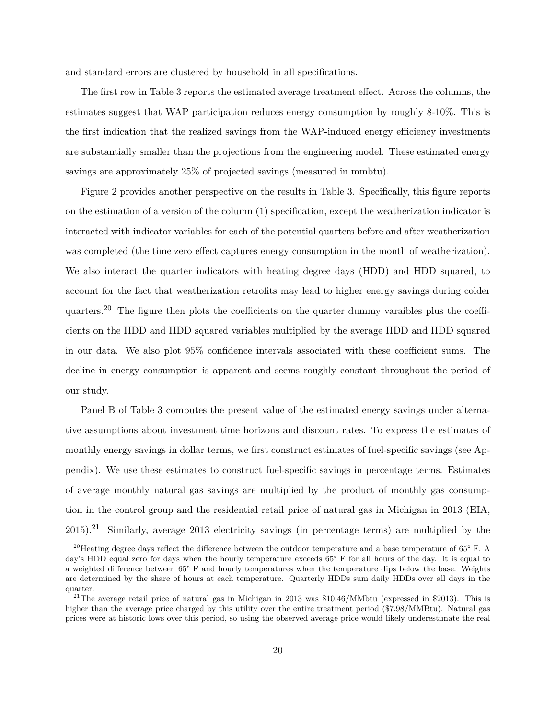and standard errors are clustered by household in all specifications.

The first row in Table 3 reports the estimated average treatment effect. Across the columns, the estimates suggest that WAP participation reduces energy consumption by roughly 8-10%. This is the first indication that the realized savings from the WAP-induced energy efficiency investments are substantially smaller than the projections from the engineering model. These estimated energy savings are approximately 25% of projected savings (measured in mmbtu).

Figure 2 provides another perspective on the results in Table 3. Specifically, this figure reports on the estimation of a version of the column (1) specification, except the weatherization indicator is interacted with indicator variables for each of the potential quarters before and after weatherization was completed (the time zero effect captures energy consumption in the month of weatherization). We also interact the quarter indicators with heating degree days (HDD) and HDD squared, to account for the fact that weatherization retrofits may lead to higher energy savings during colder quarters.<sup>20</sup> The figure then plots the coefficients on the quarter dummy varaibles plus the coefficients on the HDD and HDD squared variables multiplied by the average HDD and HDD squared in our data. We also plot 95% confidence intervals associated with these coefficient sums. The decline in energy consumption is apparent and seems roughly constant throughout the period of our study.

Panel B of Table 3 computes the present value of the estimated energy savings under alternative assumptions about investment time horizons and discount rates. To express the estimates of monthly energy savings in dollar terms, we first construct estimates of fuel-specific savings (see Appendix). We use these estimates to construct fuel-specific savings in percentage terms. Estimates of average monthly natural gas savings are multiplied by the product of monthly gas consumption in the control group and the residential retail price of natural gas in Michigan in 2013 (EIA,  $2015$ .<sup>21</sup> Similarly, average 2013 electricity savings (in percentage terms) are multiplied by the

<sup>&</sup>lt;sup>20</sup>Heating degree days reflect the difference between the outdoor temperature and a base temperature of  $65^{\circ}$  F. A day's HDD equal zero for days when the hourly temperature exceeds 65° F for all hours of the day. It is equal to a weighted difference between 65° F and hourly temperatures when the temperature dips below the base. Weights are determined by the share of hours at each temperature. Quarterly HDDs sum daily HDDs over all days in the quarter.

<sup>&</sup>lt;sup>21</sup>The average retail price of natural gas in Michigan in 2013 was  $$10.46/MM$ btu (expressed in \$2013). This is higher than the average price charged by this utility over the entire treatment period (\$7.98/MMBtu). Natural gas prices were at historic lows over this period, so using the observed average price would likely underestimate the real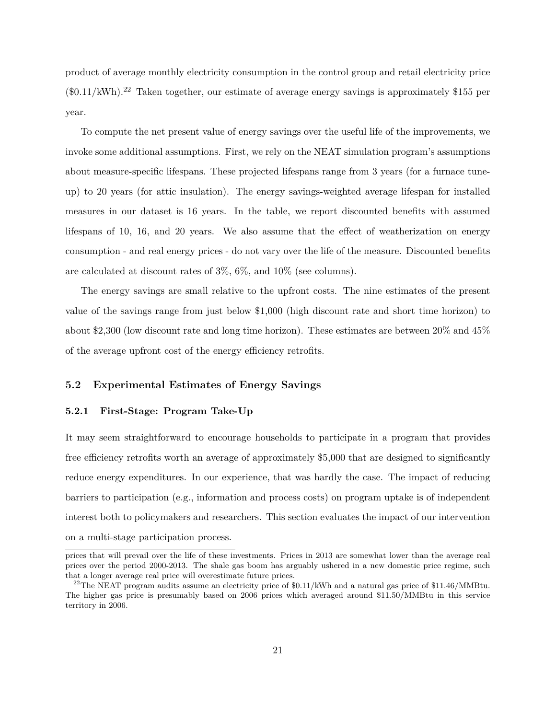product of average monthly electricity consumption in the control group and retail electricity price  $(\text{\$0.11/kWh})$ .<sup>22</sup> Taken together, our estimate of average energy savings is approximately \$155 per year.

To compute the net present value of energy savings over the useful life of the improvements, we invoke some additional assumptions. First, we rely on the NEAT simulation program's assumptions about measure-specific lifespans. These projected lifespans range from 3 years (for a furnace tuneup) to 20 years (for attic insulation). The energy savings-weighted average lifespan for installed measures in our dataset is 16 years. In the table, we report discounted benefits with assumed lifespans of 10, 16, and 20 years. We also assume that the effect of weatherization on energy consumption - and real energy prices - do not vary over the life of the measure. Discounted benefits are calculated at discount rates of 3%, 6%, and 10% (see columns).

The energy savings are small relative to the upfront costs. The nine estimates of the present value of the savings range from just below \$1,000 (high discount rate and short time horizon) to about \$2,300 (low discount rate and long time horizon). These estimates are between 20% and 45% of the average upfront cost of the energy efficiency retrofits.

## **5.2 Experimental Estimates of Energy Savings**

#### **5.2.1 First-Stage: Program Take-Up**

It may seem straightforward to encourage households to participate in a program that provides free efficiency retrofits worth an average of approximately \$5,000 that are designed to significantly reduce energy expenditures. In our experience, that was hardly the case. The impact of reducing barriers to participation (e.g., information and process costs) on program uptake is of independent interest both to policymakers and researchers. This section evaluates the impact of our intervention on a multi-stage participation process.

prices that will prevail over the life of these investments. Prices in 2013 are somewhat lower than the average real prices over the period 2000-2013. The shale gas boom has arguably ushered in a new domestic price regime, such that a longer average real price will overestimate future prices.

<sup>&</sup>lt;sup>22</sup>The NEAT program audits assume an electricity price of \$0.11/kWh and a natural gas price of \$11.46/MMBtu. The higher gas price is presumably based on 2006 prices which averaged around \$11.50/MMBtu in this service territory in 2006.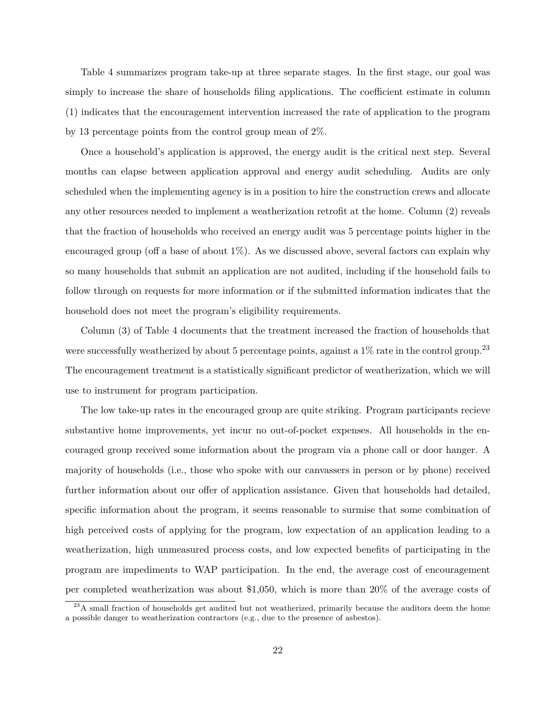Table 4 summarizes program take-up at three separate stages. In the first stage, our goal was simply to increase the share of households filing applications. The coefficient estimate in column (1) indicates that the encouragement intervention increased the rate of application to the program by 13 percentage points from the control group mean of 2%.

Once a household's application is approved, the energy audit is the critical next step. Several months can elapse between application approval and energy audit scheduling. Audits are only scheduled when the implementing agency is in a position to hire the construction crews and allocate any other resources needed to implement a weatherization retrofit at the home. Column (2) reveals that the fraction of households who received an energy audit was 5 percentage points higher in the encouraged group (off a base of about  $1\%$ ). As we discussed above, several factors can explain why so many households that submit an application are not audited, including if the household fails to follow through on requests for more information or if the submitted information indicates that the household does not meet the program's eligibility requirements.

Column (3) of Table 4 documents that the treatment increased the fraction of households that were successfully weatherized by about 5 percentage points, against a  $1\%$  rate in the control group.<sup>23</sup> The encouragement treatment is a statistically significant predictor of weatherization, which we will use to instrument for program participation.

The low take-up rates in the encouraged group are quite striking. Program participants recieve substantive home improvements, yet incur no out-of-pocket expenses. All households in the encouraged group received some information about the program via a phone call or door hanger. A majority of households (i.e., those who spoke with our canvassers in person or by phone) received further information about our offer of application assistance. Given that households had detailed, specific information about the program, it seems reasonable to surmise that some combination of high perceived costs of applying for the program, low expectation of an application leading to a weatherization, high unmeasured process costs, and low expected benefits of participating in the program are impediments to WAP participation. In the end, the average cost of encouragement per completed weatherization was about \$1,050, which is more than 20% of the average costs of

<sup>&</sup>lt;sup>23</sup>A small fraction of households get audited but not weatherized, primarily because the auditors deem the home a possible danger to weatherization contractors (e.g., due to the presence of asbestos).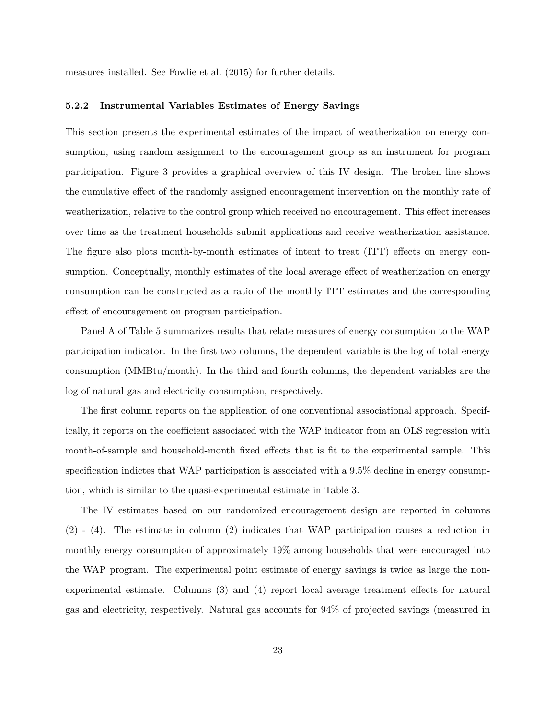measures installed. See Fowlie et al. (2015) for further details.

### **5.2.2 Instrumental Variables Estimates of Energy Savings**

This section presents the experimental estimates of the impact of weatherization on energy consumption, using random assignment to the encouragement group as an instrument for program participation. Figure 3 provides a graphical overview of this IV design. The broken line shows the cumulative effect of the randomly assigned encouragement intervention on the monthly rate of weatherization, relative to the control group which received no encouragement. This effect increases over time as the treatment households submit applications and receive weatherization assistance. The figure also plots month-by-month estimates of intent to treat (ITT) effects on energy consumption. Conceptually, monthly estimates of the local average effect of weatherization on energy consumption can be constructed as a ratio of the monthly ITT estimates and the corresponding effect of encouragement on program participation.

Panel A of Table 5 summarizes results that relate measures of energy consumption to the WAP participation indicator. In the first two columns, the dependent variable is the log of total energy consumption (MMBtu/month). In the third and fourth columns, the dependent variables are the log of natural gas and electricity consumption, respectively.

The first column reports on the application of one conventional associational approach. Specifically, it reports on the coefficient associated with the WAP indicator from an OLS regression with month-of-sample and household-month fixed effects that is fit to the experimental sample. This specification indictes that WAP participation is associated with a 9.5% decline in energy consumption, which is similar to the quasi-experimental estimate in Table 3.

The IV estimates based on our randomized encouragement design are reported in columns (2) - (4). The estimate in column (2) indicates that WAP participation causes a reduction in monthly energy consumption of approximately 19% among households that were encouraged into the WAP program. The experimental point estimate of energy savings is twice as large the nonexperimental estimate. Columns (3) and (4) report local average treatment effects for natural gas and electricity, respectively. Natural gas accounts for 94% of projected savings (measured in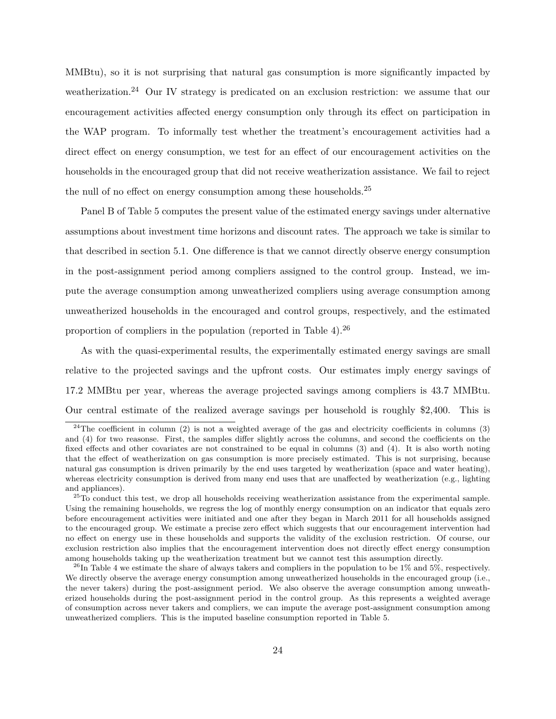MMBtu), so it is not surprising that natural gas consumption is more significantly impacted by weatherization.<sup>24</sup> Our IV strategy is predicated on an exclusion restriction: we assume that our encouragement activities affected energy consumption only through its effect on participation in the WAP program. To informally test whether the treatment's encouragement activities had a direct effect on energy consumption, we test for an effect of our encouragement activities on the households in the encouraged group that did not receive weatherization assistance. We fail to reject the null of no effect on energy consumption among these households.<sup>25</sup>

Panel B of Table 5 computes the present value of the estimated energy savings under alternative assumptions about investment time horizons and discount rates. The approach we take is similar to that described in section 5.1. One difference is that we cannot directly observe energy consumption in the post-assignment period among compliers assigned to the control group. Instead, we impute the average consumption among unweatherized compliers using average consumption among unweatherized households in the encouraged and control groups, respectively, and the estimated proportion of compliers in the population (reported in Table 4).<sup>26</sup>

As with the quasi-experimental results, the experimentally estimated energy savings are small relative to the projected savings and the upfront costs. Our estimates imply energy savings of 17.2 MMBtu per year, whereas the average projected savings among compliers is 43.7 MMBtu. Our central estimate of the realized average savings per household is roughly \$2,400. This is

<sup>&</sup>lt;sup>24</sup>The coefficient in column (2) is not a weighted average of the gas and electricity coefficients in columns (3) and (4) for two reasonse. First, the samples differ slightly across the columns, and second the coefficients on the fixed effects and other covariates are not constrained to be equal in columns (3) and (4). It is also worth noting that the effect of weatherization on gas consumption is more precisely estimated. This is not surprising, because natural gas consumption is driven primarily by the end uses targeted by weatherization (space and water heating), whereas electricity consumption is derived from many end uses that are unaffected by weatherization (e.g., lighting and appliances).

<sup>&</sup>lt;sup>25</sup>To conduct this test, we drop all households receiving weatherization assistance from the experimental sample. Using the remaining households, we regress the log of monthly energy consumption on an indicator that equals zero before encouragement activities were initiated and one after they began in March 2011 for all households assigned to the encouraged group. We estimate a precise zero effect which suggests that our encouragement intervention had no effect on energy use in these households and supports the validity of the exclusion restriction. Of course, our exclusion restriction also implies that the encouragement intervention does not directly effect energy consumption among households taking up the weatherization treatment but we cannot test this assumption directly.

<sup>&</sup>lt;sup>26</sup>In Table 4 we estimate the share of always takers and compliers in the population to be 1% and 5%, respectively. We directly observe the average energy consumption among unweatherized households in the encouraged group (i.e., the never takers) during the post-assignment period. We also observe the average consumption among unweatherized households during the post-assignment period in the control group. As this represents a weighted average of consumption across never takers and compliers, we can impute the average post-assignment consumption among unweatherized compliers. This is the imputed baseline consumption reported in Table 5.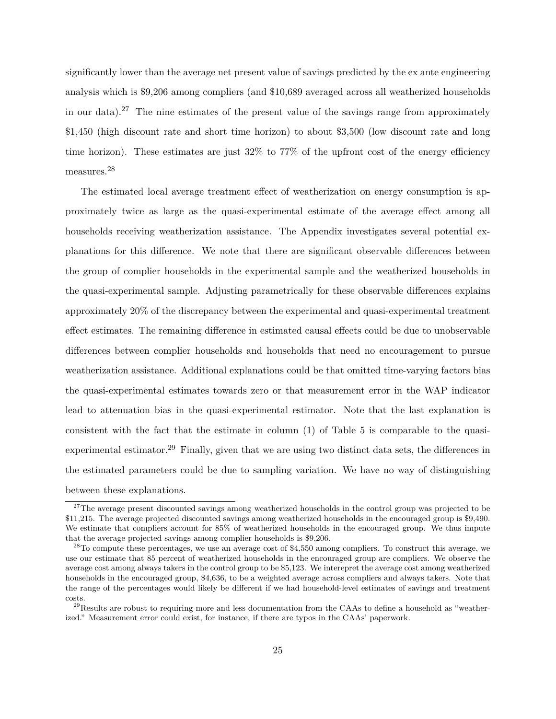significantly lower than the average net present value of savings predicted by the ex ante engineering analysis which is \$9,206 among compliers (and \$10,689 averaged across all weatherized households in our data).<sup>27</sup> The nine estimates of the present value of the savings range from approximately \$1,450 (high discount rate and short time horizon) to about \$3,500 (low discount rate and long time horizon). These estimates are just 32% to 77% of the upfront cost of the energy efficiency measures.<sup>28</sup>

The estimated local average treatment effect of weatherization on energy consumption is approximately twice as large as the quasi-experimental estimate of the average effect among all households receiving weatherization assistance. The Appendix investigates several potential explanations for this difference. We note that there are significant observable differences between the group of complier households in the experimental sample and the weatherized households in the quasi-experimental sample. Adjusting parametrically for these observable differences explains approximately 20% of the discrepancy between the experimental and quasi-experimental treatment effect estimates. The remaining difference in estimated causal effects could be due to unobservable differences between complier households and households that need no encouragement to pursue weatherization assistance. Additional explanations could be that omitted time-varying factors bias the quasi-experimental estimates towards zero or that measurement error in the WAP indicator lead to attenuation bias in the quasi-experimental estimator. Note that the last explanation is consistent with the fact that the estimate in column (1) of Table 5 is comparable to the quasiexperimental estimator.<sup>29</sup> Finally, given that we are using two distinct data sets, the differences in the estimated parameters could be due to sampling variation. We have no way of distinguishing between these explanations.

<sup>&</sup>lt;sup>27</sup>The average present discounted savings among weatherized households in the control group was projected to be \$11,215. The average projected discounted savings among weatherized households in the encouraged group is \$9,490. We estimate that compliers account for 85% of weatherized households in the encouraged group. We thus impute that the average projected savings among complier households is \$9,206.

 $28$ To compute these percentages, we use an average cost of \$4,550 among compliers. To construct this average, we use our estimate that 85 percent of weatherized households in the encouraged group are compliers. We observe the average cost among always takers in the control group to be \$5,123. We interepret the average cost among weatherized households in the encouraged group, \$4,636, to be a weighted average across compliers and always takers. Note that the range of the percentages would likely be different if we had household-level estimates of savings and treatment costs.

<sup>&</sup>lt;sup>29</sup>Results are robust to requiring more and less documentation from the CAAs to define a household as "weatherized." Measurement error could exist, for instance, if there are typos in the CAAs' paperwork.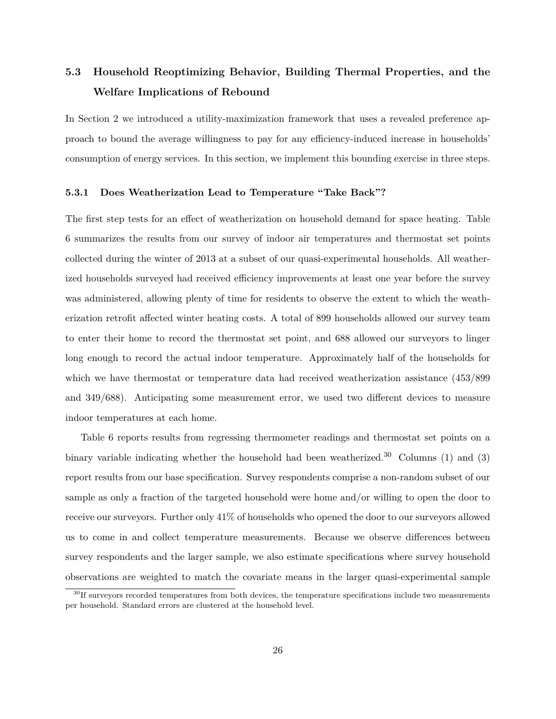# **5.3 Household Reoptimizing Behavior, Building Thermal Properties, and the Welfare Implications of Rebound**

In Section 2 we introduced a utility-maximization framework that uses a revealed preference approach to bound the average willingness to pay for any efficiency-induced increase in households' consumption of energy services. In this section, we implement this bounding exercise in three steps.

### **5.3.1 Does Weatherization Lead to Temperature "Take Back"?**

The first step tests for an effect of weatherization on household demand for space heating. Table 6 summarizes the results from our survey of indoor air temperatures and thermostat set points collected during the winter of 2013 at a subset of our quasi-experimental households. All weatherized households surveyed had received efficiency improvements at least one year before the survey was administered, allowing plenty of time for residents to observe the extent to which the weatherization retrofit affected winter heating costs. A total of 899 households allowed our survey team to enter their home to record the thermostat set point, and 688 allowed our surveyors to linger long enough to record the actual indoor temperature. Approximately half of the households for which we have thermostat or temperature data had received weatherization assistance (453/899 and 349/688). Anticipating some measurement error, we used two different devices to measure indoor temperatures at each home.

Table 6 reports results from regressing thermometer readings and thermostat set points on a binary variable indicating whether the household had been weatherized.<sup>30</sup> Columns (1) and (3) report results from our base specification. Survey respondents comprise a non-random subset of our sample as only a fraction of the targeted household were home and/or willing to open the door to receive our surveyors. Further only 41% of households who opened the door to our surveyors allowed us to come in and collect temperature measurements. Because we observe differences between survey respondents and the larger sample, we also estimate specifications where survey household observations are weighted to match the covariate means in the larger quasi-experimental sample

 $30$ If surveyors recorded temperatures from both devices, the temperature specifications include two measurements per household. Standard errors are clustered at the household level.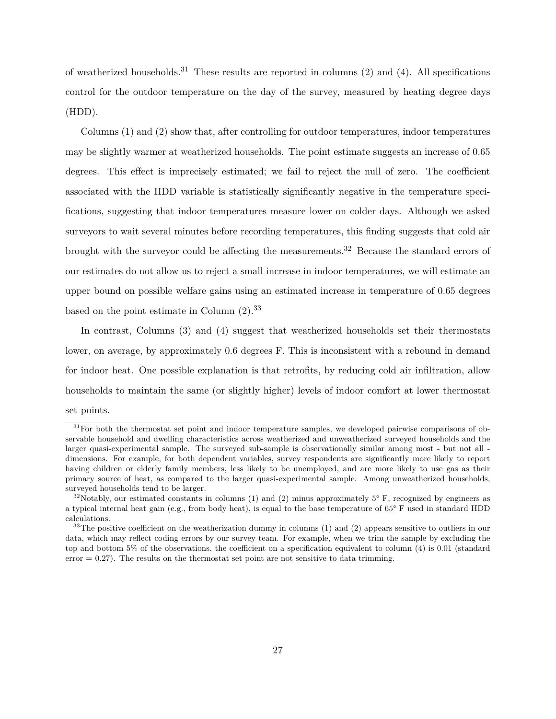of weatherized households.<sup>31</sup> These results are reported in columns  $(2)$  and  $(4)$ . All specifications control for the outdoor temperature on the day of the survey, measured by heating degree days (HDD).

Columns (1) and (2) show that, after controlling for outdoor temperatures, indoor temperatures may be slightly warmer at weatherized households. The point estimate suggests an increase of 0.65 degrees. This effect is imprecisely estimated; we fail to reject the null of zero. The coefficient associated with the HDD variable is statistically significantly negative in the temperature specifications, suggesting that indoor temperatures measure lower on colder days. Although we asked surveyors to wait several minutes before recording temperatures, this finding suggests that cold air brought with the surveyor could be affecting the measurements.<sup>32</sup> Because the standard errors of our estimates do not allow us to reject a small increase in indoor temperatures, we will estimate an upper bound on possible welfare gains using an estimated increase in temperature of 0.65 degrees based on the point estimate in Column  $(2).^{33}$ 

In contrast, Columns (3) and (4) suggest that weatherized households set their thermostats lower, on average, by approximately 0.6 degrees F. This is inconsistent with a rebound in demand for indoor heat. One possible explanation is that retrofits, by reducing cold air infiltration, allow households to maintain the same (or slightly higher) levels of indoor comfort at lower thermostat set points.

 $31$  For both the thermostat set point and indoor temperature samples, we developed pairwise comparisons of observable household and dwelling characteristics across weatherized and unweatherized surveyed households and the larger quasi-experimental sample. The surveyed sub-sample is observationally similar among most - but not all dimensions. For example, for both dependent variables, survey respondents are significantly more likely to report having children or elderly family members, less likely to be unemployed, and are more likely to use gas as their primary source of heat, as compared to the larger quasi-experimental sample. Among unweatherized households, surveyed households tend to be larger.

<sup>&</sup>lt;sup>32</sup>Notably, our estimated constants in columns (1) and (2) minus approximately  $5^{\circ}$  F, recognized by engineers as a typical internal heat gain (e.g., from body heat), is equal to the base temperature of 65° F used in standard HDD calculations.

 $33$ The positive coefficient on the weatherization dummy in columns (1) and (2) appears sensitive to outliers in our data, which may reflect coding errors by our survey team. For example, when we trim the sample by excluding the top and bottom 5% of the observations, the coefficient on a specification equivalent to column (4) is 0.01 (standard error  $= 0.27$ . The results on the thermostat set point are not sensitive to data trimming.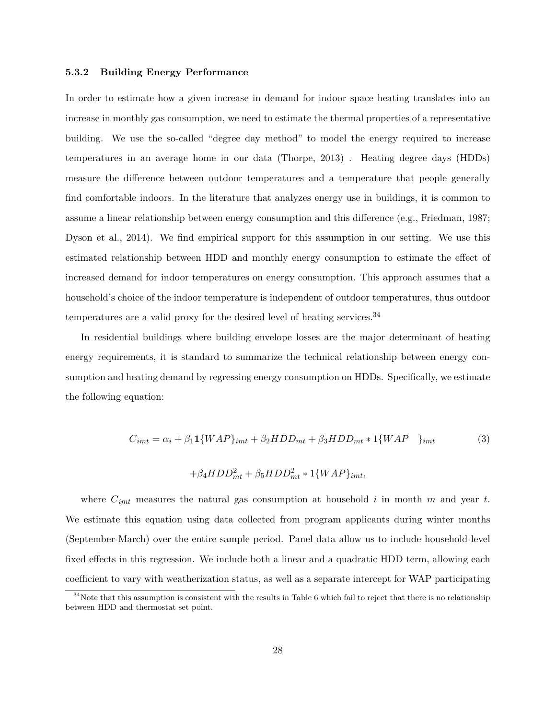#### **5.3.2 Building Energy Performance**

In order to estimate how a given increase in demand for indoor space heating translates into an increase in monthly gas consumption, we need to estimate the thermal properties of a representative building. We use the so-called "degree day method" to model the energy required to increase temperatures in an average home in our data (Thorpe, 2013) . Heating degree days (HDDs) measure the difference between outdoor temperatures and a temperature that people generally find comfortable indoors. In the literature that analyzes energy use in buildings, it is common to assume a linear relationship between energy consumption and this difference (e.g., Friedman, 1987; Dyson et al., 2014). We find empirical support for this assumption in our setting. We use this estimated relationship between HDD and monthly energy consumption to estimate the effect of increased demand for indoor temperatures on energy consumption. This approach assumes that a household's choice of the indoor temperature is independent of outdoor temperatures, thus outdoor temperatures are a valid proxy for the desired level of heating services.  $34$ 

In residential buildings where building envelope losses are the major determinant of heating energy requirements, it is standard to summarize the technical relationship between energy consumption and heating demand by regressing energy consumption on HDDs. Specifically, we estimate the following equation:

$$
C_{imt} = \alpha_i + \beta_1 \mathbf{1} \{WAP\}_{imt} + \beta_2 HDD_{mt} + \beta_3 HDD_{mt} * \mathbf{1} \{WAP\}
$$

$$
+\beta_4 HDD_{mt}^2 + \beta_5 HDD_{mt}^2 * 1\{WAP\}_{imt},
$$

where *Cimt* measures the natural gas consumption at household *i* in month *m* and year *t*. We estimate this equation using data collected from program applicants during winter months (September-March) over the entire sample period. Panel data allow us to include household-level fixed effects in this regression. We include both a linear and a quadratic HDD term, allowing each coefficient to vary with weatherization status, as well as a separate intercept for WAP participating

 $34$ Note that this assumption is consistent with the results in Table 6 which fail to reject that there is no relationship between HDD and thermostat set point.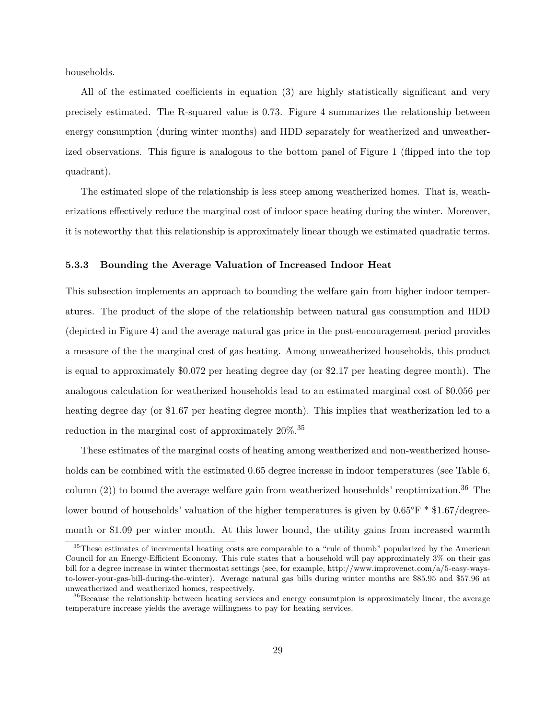households.

All of the estimated coefficients in equation (3) are highly statistically significant and very precisely estimated. The R-squared value is 0.73. Figure 4 summarizes the relationship between energy consumption (during winter months) and HDD separately for weatherized and unweatherized observations. This figure is analogous to the bottom panel of Figure 1 (flipped into the top quadrant).

The estimated slope of the relationship is less steep among weatherized homes. That is, weatherizations effectively reduce the marginal cost of indoor space heating during the winter. Moreover, it is noteworthy that this relationship is approximately linear though we estimated quadratic terms.

## **5.3.3 Bounding the Average Valuation of Increased Indoor Heat**

This subsection implements an approach to bounding the welfare gain from higher indoor temperatures. The product of the slope of the relationship between natural gas consumption and HDD (depicted in Figure 4) and the average natural gas price in the post-encouragement period provides a measure of the the marginal cost of gas heating. Among unweatherized households, this product is equal to approximately \$0.072 per heating degree day (or \$2.17 per heating degree month). The analogous calculation for weatherized households lead to an estimated marginal cost of \$0.056 per heating degree day (or \$1.67 per heating degree month). This implies that weatherization led to a reduction in the marginal cost of approximately  $20\%$ .<sup>35</sup>

These estimates of the marginal costs of heating among weatherized and non-weatherized households can be combined with the estimated 0.65 degree increase in indoor temperatures (see Table 6, column  $(2)$ ) to bound the average welfare gain from weatherized households' reoptimization.<sup>36</sup> The lower bound of households' valuation of the higher temperatures is given by  $0.65^{\circ}F * \$1.67/\text{degree}$ month or \$1.09 per winter month. At this lower bound, the utility gains from increased warmth

<sup>&</sup>lt;sup>35</sup>These estimates of incremental heating costs are comparable to a "rule of thumb" popularized by the American Council for an Energy-Efficient Economy. This rule states that a household will pay approximately 3% on their gas bill for a degree increase in winter thermostat settings (see, for example, http://www.improvenet.com/a/5-easy-waysto-lower-your-gas-bill-during-the-winter). Average natural gas bills during winter months are \$85.95 and \$57.96 at unweatherized and weatherized homes, respectively.

<sup>&</sup>lt;sup>36</sup>Because the relationship between heating services and energy consumtpion is approximately linear, the average temperature increase yields the average willingness to pay for heating services.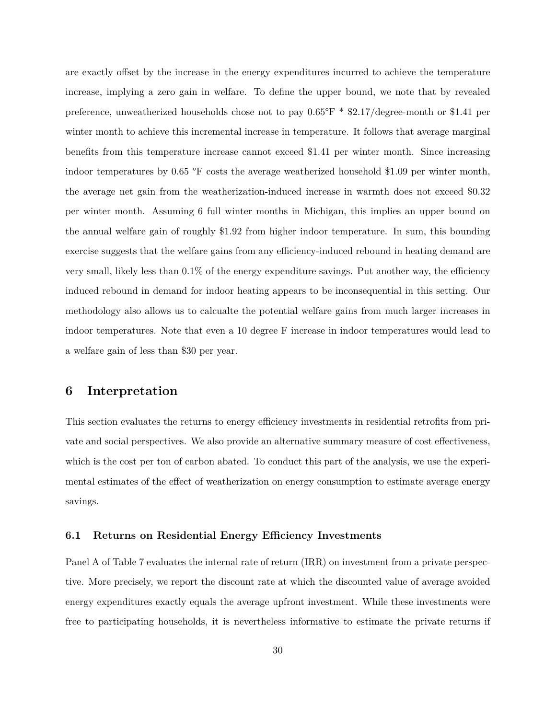are exactly offset by the increase in the energy expenditures incurred to achieve the temperature increase, implying a zero gain in welfare. To define the upper bound, we note that by revealed preference, unweatherized households chose not to pay 0.65°F \* \$2.17/degree-month or \$1.41 per winter month to achieve this incremental increase in temperature. It follows that average marginal benefits from this temperature increase cannot exceed \$1.41 per winter month. Since increasing indoor temperatures by 0.65 °F costs the average weatherized household \$1.09 per winter month, the average net gain from the weatherization-induced increase in warmth does not exceed \$0.32 per winter month. Assuming 6 full winter months in Michigan, this implies an upper bound on the annual welfare gain of roughly \$1.92 from higher indoor temperature. In sum, this bounding exercise suggests that the welfare gains from any efficiency-induced rebound in heating demand are very small, likely less than  $0.1\%$  of the energy expenditure savings. Put another way, the efficiency induced rebound in demand for indoor heating appears to be inconsequential in this setting. Our methodology also allows us to calcualte the potential welfare gains from much larger increases in indoor temperatures. Note that even a 10 degree F increase in indoor temperatures would lead to a welfare gain of less than \$30 per year.

# **6 Interpretation**

This section evaluates the returns to energy efficiency investments in residential retrofits from private and social perspectives. We also provide an alternative summary measure of cost effectiveness, which is the cost per ton of carbon abated. To conduct this part of the analysis, we use the experimental estimates of the effect of weatherization on energy consumption to estimate average energy savings.

## **6.1 Returns on Residential Energy Efficiency Investments**

Panel A of Table 7 evaluates the internal rate of return (IRR) on investment from a private perspective. More precisely, we report the discount rate at which the discounted value of average avoided energy expenditures exactly equals the average upfront investment. While these investments were free to participating households, it is nevertheless informative to estimate the private returns if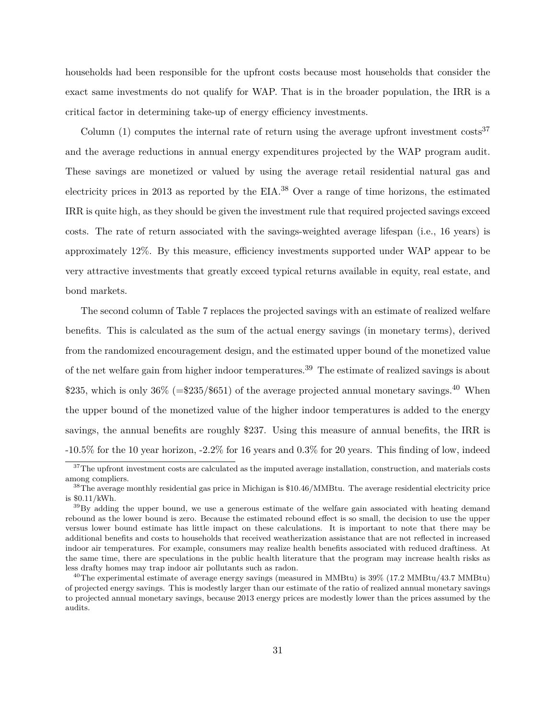households had been responsible for the upfront costs because most households that consider the exact same investments do not qualify for WAP. That is in the broader population, the IRR is a critical factor in determining take-up of energy efficiency investments.

Column  $(1)$  computes the internal rate of return using the average upfront investment costs<sup>37</sup> and the average reductions in annual energy expenditures projected by the WAP program audit. These savings are monetized or valued by using the average retail residential natural gas and electricity prices in 2013 as reported by the EIA.<sup>38</sup> Over a range of time horizons, the estimated IRR is quite high, as they should be given the investment rule that required projected savings exceed costs. The rate of return associated with the savings-weighted average lifespan (i.e., 16 years) is approximately 12%. By this measure, efficiency investments supported under WAP appear to be very attractive investments that greatly exceed typical returns available in equity, real estate, and bond markets.

The second column of Table 7 replaces the projected savings with an estimate of realized welfare benefits. This is calculated as the sum of the actual energy savings (in monetary terms), derived from the randomized encouragement design, and the estimated upper bound of the monetized value of the net welfare gain from higher indoor temperatures.<sup>39</sup> The estimate of realized savings is about \$235, which is only  $36\%$  (=\$235/\$651) of the average projected annual monetary savings.<sup>40</sup> When the upper bound of the monetized value of the higher indoor temperatures is added to the energy savings, the annual benefits are roughly \$237. Using this measure of annual benefits, the IRR is -10.5% for the 10 year horizon, -2.2% for 16 years and 0.3% for 20 years. This finding of low, indeed

 $37$ The upfront investment costs are calculated as the imputed average installation, construction, and materials costs among compliers.

<sup>38</sup>The average monthly residential gas price in Michigan is \$10.46/MMBtu. The average residential electricity price is \$0.11/kWh.

 $39\text{By adding the upper bound, we use a generous estimate of the welfare gain associated with heating demand.}$ rebound as the lower bound is zero. Because the estimated rebound effect is so small, the decision to use the upper versus lower bound estimate has little impact on these calculations. It is important to note that there may be additional benefits and costs to households that received weatherization assistance that are not reflected in increased indoor air temperatures. For example, consumers may realize health benefits associated with reduced draftiness. At the same time, there are speculations in the public health literature that the program may increase health risks as less drafty homes may trap indoor air pollutants such as radon.

 $^{40}$ The experimental estimate of average energy savings (measured in MMBtu) is  $39\%$  (17.2 MMBtu/43.7 MMBtu) of projected energy savings. This is modestly larger than our estimate of the ratio of realized annual monetary savings to projected annual monetary savings, because 2013 energy prices are modestly lower than the prices assumed by the audits.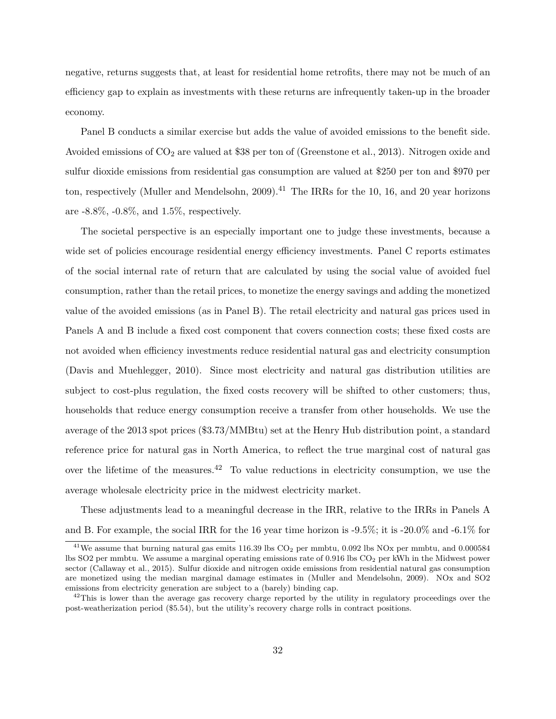negative, returns suggests that, at least for residential home retrofits, there may not be much of an efficiency gap to explain as investments with these returns are infrequently taken-up in the broader economy.

Panel B conducts a similar exercise but adds the value of avoided emissions to the benefit side. Avoided emissions of  $CO<sub>2</sub>$  are valued at \$38 per ton of (Greenstone et al., 2013). Nitrogen oxide and sulfur dioxide emissions from residential gas consumption are valued at \$250 per ton and \$970 per ton, respectively (Muller and Mendelsohn, 2009).<sup>41</sup> The IRRs for the 10, 16, and 20 year horizons are -8.8%, -0.8%, and 1.5%, respectively.

The societal perspective is an especially important one to judge these investments, because a wide set of policies encourage residential energy efficiency investments. Panel C reports estimates of the social internal rate of return that are calculated by using the social value of avoided fuel consumption, rather than the retail prices, to monetize the energy savings and adding the monetized value of the avoided emissions (as in Panel B). The retail electricity and natural gas prices used in Panels A and B include a fixed cost component that covers connection costs; these fixed costs are not avoided when efficiency investments reduce residential natural gas and electricity consumption (Davis and Muehlegger, 2010). Since most electricity and natural gas distribution utilities are subject to cost-plus regulation, the fixed costs recovery will be shifted to other customers; thus, households that reduce energy consumption receive a transfer from other households. We use the average of the 2013 spot prices (\$3.73/MMBtu) set at the Henry Hub distribution point, a standard reference price for natural gas in North America, to reflect the true marginal cost of natural gas over the lifetime of the measures.<sup>42</sup> To value reductions in electricity consumption, we use the average wholesale electricity price in the midwest electricity market.

These adjustments lead to a meaningful decrease in the IRR, relative to the IRRs in Panels A and B. For example, the social IRR for the 16 year time horizon is -9.5%; it is -20.0% and -6.1% for

 $41$ We assume that burning natural gas emits 116.39 lbs CO<sub>2</sub> per mmbtu, 0.092 lbs NOx per mmbtu, and 0.000584 lbs SO2 per mmbtu. We assume a marginal operating emissions rate of 0.916 lbs CO<sub>2</sub> per kWh in the Midwest power sector (Callaway et al., 2015). Sulfur dioxide and nitrogen oxide emissions from residential natural gas consumption are monetized using the median marginal damage estimates in (Muller and Mendelsohn, 2009). NOx and SO2 emissions from electricity generation are subject to a (barely) binding cap.

 $^{42}$ This is lower than the average gas recovery charge reported by the utility in regulatory proceedings over the post-weatherization period (\$5.54), but the utility's recovery charge rolls in contract positions.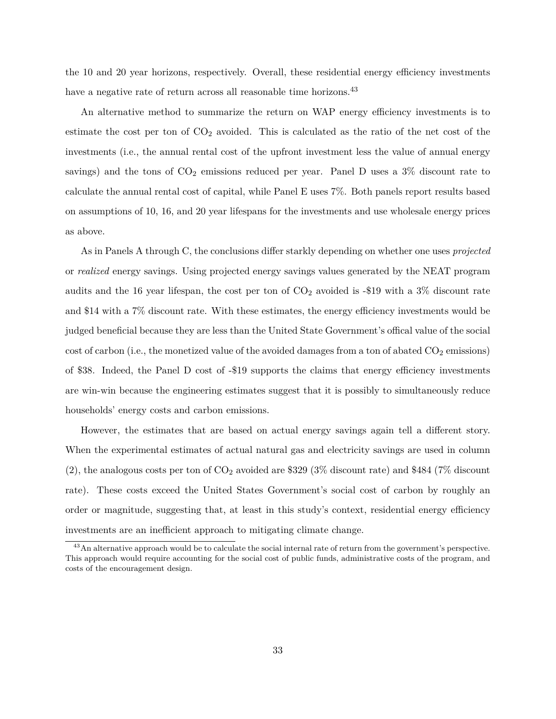the 10 and 20 year horizons, respectively. Overall, these residential energy efficiency investments have a negative rate of return across all reasonable time horizons.<sup>43</sup>

An alternative method to summarize the return on WAP energy efficiency investments is to estimate the cost per ton of  $CO<sub>2</sub>$  avoided. This is calculated as the ratio of the net cost of the investments (i.e., the annual rental cost of the upfront investment less the value of annual energy savings) and the tons of  $CO<sub>2</sub>$  emissions reduced per year. Panel D uses a 3% discount rate to calculate the annual rental cost of capital, while Panel E uses 7%. Both panels report results based on assumptions of 10, 16, and 20 year lifespans for the investments and use wholesale energy prices as above.

As in Panels A through C, the conclusions differ starkly depending on whether one uses *projected* or *realized* energy savings. Using projected energy savings values generated by the NEAT program audits and the 16 year lifespan, the cost per ton of  $CO<sub>2</sub>$  avoided is -\$19 with a 3% discount rate and \$14 with a 7% discount rate. With these estimates, the energy efficiency investments would be judged beneficial because they are less than the United State Government's offical value of the social cost of carbon (i.e., the monetized value of the avoided damages from a ton of abated  $CO<sub>2</sub>$  emissions) of \$38. Indeed, the Panel D cost of -\$19 supports the claims that energy efficiency investments are win-win because the engineering estimates suggest that it is possibly to simultaneously reduce households' energy costs and carbon emissions.

However, the estimates that are based on actual energy savings again tell a different story. When the experimental estimates of actual natural gas and electricity savings are used in column  $(2)$ , the analogous costs per ton of  $CO<sub>2</sub>$  avoided are \$329 (3% discount rate) and \$484 (7% discount rate). These costs exceed the United States Government's social cost of carbon by roughly an order or magnitude, suggesting that, at least in this study's context, residential energy efficiency investments are an inefficient approach to mitigating climate change.

<sup>43</sup>An alternative approach would be to calculate the social internal rate of return from the government's perspective. This approach would require accounting for the social cost of public funds, administrative costs of the program, and costs of the encouragement design.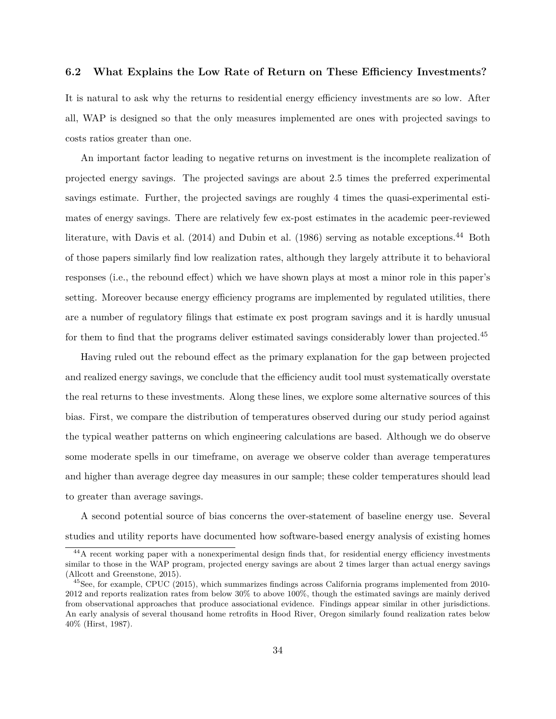## **6.2 What Explains the Low Rate of Return on These Efficiency Investments?**

It is natural to ask why the returns to residential energy efficiency investments are so low. After all, WAP is designed so that the only measures implemented are ones with projected savings to costs ratios greater than one.

An important factor leading to negative returns on investment is the incomplete realization of projected energy savings. The projected savings are about 2.5 times the preferred experimental savings estimate. Further, the projected savings are roughly 4 times the quasi-experimental estimates of energy savings. There are relatively few ex-post estimates in the academic peer-reviewed literature, with Davis et al. (2014) and Dubin et al. (1986) serving as notable exceptions.<sup>44</sup> Both of those papers similarly find low realization rates, although they largely attribute it to behavioral responses (i.e., the rebound effect) which we have shown plays at most a minor role in this paper's setting. Moreover because energy efficiency programs are implemented by regulated utilities, there are a number of regulatory filings that estimate ex post program savings and it is hardly unusual for them to find that the programs deliver estimated savings considerably lower than projected.<sup>45</sup>

Having ruled out the rebound effect as the primary explanation for the gap between projected and realized energy savings, we conclude that the efficiency audit tool must systematically overstate the real returns to these investments. Along these lines, we explore some alternative sources of this bias. First, we compare the distribution of temperatures observed during our study period against the typical weather patterns on which engineering calculations are based. Although we do observe some moderate spells in our timeframe, on average we observe colder than average temperatures and higher than average degree day measures in our sample; these colder temperatures should lead to greater than average savings.

A second potential source of bias concerns the over-statement of baseline energy use. Several studies and utility reports have documented how software-based energy analysis of existing homes

<sup>&</sup>lt;sup>44</sup>A recent working paper with a nonexperimental design finds that, for residential energy efficiency investments similar to those in the WAP program, projected energy savings are about 2 times larger than actual energy savings (Allcott and Greenstone, 2015).

<sup>45</sup>See, for example, CPUC (2015), which summarizes findings across California programs implemented from 2010- 2012 and reports realization rates from below 30% to above 100%, though the estimated savings are mainly derived from observational approaches that produce associational evidence. Findings appear similar in other jurisdictions. An early analysis of several thousand home retrofits in Hood River, Oregon similarly found realization rates below 40% (Hirst, 1987).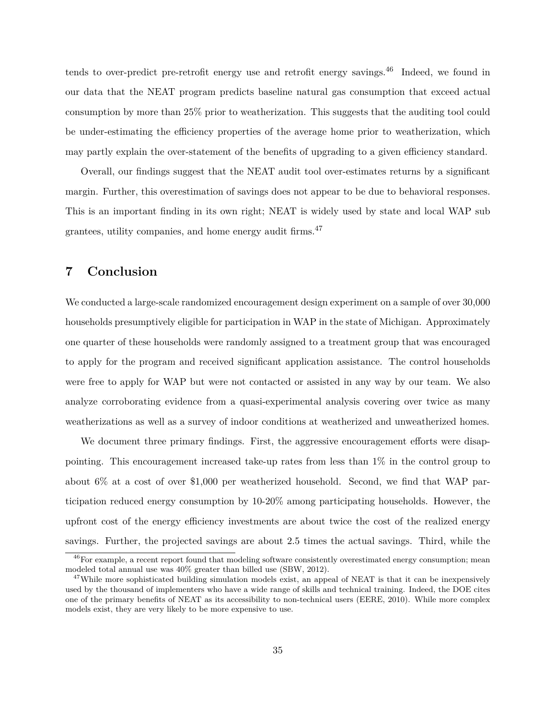tends to over-predict pre-retrofit energy use and retrofit energy savings.<sup>46</sup> Indeed, we found in our data that the NEAT program predicts baseline natural gas consumption that exceed actual consumption by more than 25% prior to weatherization. This suggests that the auditing tool could be under-estimating the efficiency properties of the average home prior to weatherization, which may partly explain the over-statement of the benefits of upgrading to a given efficiency standard.

Overall, our findings suggest that the NEAT audit tool over-estimates returns by a significant margin. Further, this overestimation of savings does not appear to be due to behavioral responses. This is an important finding in its own right; NEAT is widely used by state and local WAP sub grantees, utility companies, and home energy audit firms.<sup>47</sup>

# **7 Conclusion**

We conducted a large-scale randomized encouragement design experiment on a sample of over 30,000 households presumptively eligible for participation in WAP in the state of Michigan. Approximately one quarter of these households were randomly assigned to a treatment group that was encouraged to apply for the program and received significant application assistance. The control households were free to apply for WAP but were not contacted or assisted in any way by our team. We also analyze corroborating evidence from a quasi-experimental analysis covering over twice as many weatherizations as well as a survey of indoor conditions at weatherized and unweatherized homes.

We document three primary findings. First, the aggressive encouragement efforts were disappointing. This encouragement increased take-up rates from less than 1% in the control group to about 6% at a cost of over \$1,000 per weatherized household. Second, we find that WAP participation reduced energy consumption by 10-20% among participating households. However, the upfront cost of the energy efficiency investments are about twice the cost of the realized energy savings. Further, the projected savings are about 2.5 times the actual savings. Third, while the

<sup>&</sup>lt;sup>46</sup>For example, a recent report found that modeling software consistently overestimated energy consumption; mean modeled total annual use was 40% greater than billed use (SBW, 2012).

<sup>&</sup>lt;sup>47</sup>While more sophisticated building simulation models exist, an appeal of NEAT is that it can be inexpensively used by the thousand of implementers who have a wide range of skills and technical training. Indeed, the DOE cites one of the primary benefits of NEAT as its accessibility to non-technical users (EERE, 2010). While more complex models exist, they are very likely to be more expensive to use.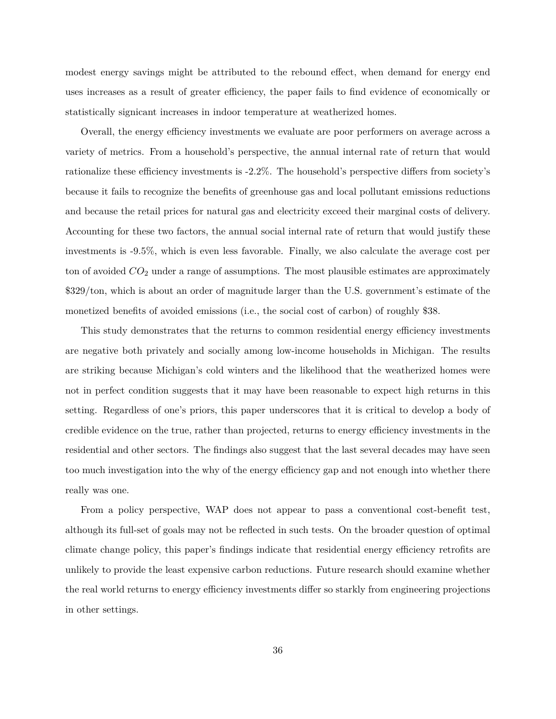modest energy savings might be attributed to the rebound effect, when demand for energy end uses increases as a result of greater efficiency, the paper fails to find evidence of economically or statistically signicant increases in indoor temperature at weatherized homes.

Overall, the energy efficiency investments we evaluate are poor performers on average across a variety of metrics. From a household's perspective, the annual internal rate of return that would rationalize these efficiency investments is -2.2%. The household's perspective differs from society's because it fails to recognize the benefits of greenhouse gas and local pollutant emissions reductions and because the retail prices for natural gas and electricity exceed their marginal costs of delivery. Accounting for these two factors, the annual social internal rate of return that would justify these investments is -9.5%, which is even less favorable. Finally, we also calculate the average cost per ton of avoided *CO*<sup>2</sup> under a range of assumptions. The most plausible estimates are approximately \$329/ton, which is about an order of magnitude larger than the U.S. government's estimate of the monetized benefits of avoided emissions (i.e., the social cost of carbon) of roughly \$38.

This study demonstrates that the returns to common residential energy efficiency investments are negative both privately and socially among low-income households in Michigan. The results are striking because Michigan's cold winters and the likelihood that the weatherized homes were not in perfect condition suggests that it may have been reasonable to expect high returns in this setting. Regardless of one's priors, this paper underscores that it is critical to develop a body of credible evidence on the true, rather than projected, returns to energy efficiency investments in the residential and other sectors. The findings also suggest that the last several decades may have seen too much investigation into the why of the energy efficiency gap and not enough into whether there really was one.

From a policy perspective, WAP does not appear to pass a conventional cost-benefit test, although its full-set of goals may not be reflected in such tests. On the broader question of optimal climate change policy, this paper's findings indicate that residential energy efficiency retrofits are unlikely to provide the least expensive carbon reductions. Future research should examine whether the real world returns to energy efficiency investments differ so starkly from engineering projections in other settings.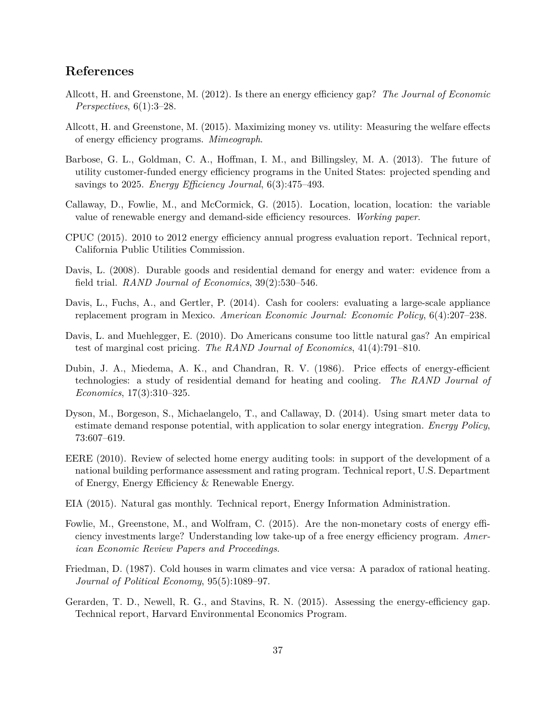# **References**

- Allcott, H. and Greenstone, M. (2012). Is there an energy efficiency gap? *The Journal of Economic Perspectives*, 6(1):3–28.
- Allcott, H. and Greenstone, M. (2015). Maximizing money vs. utility: Measuring the welfare effects of energy efficiency programs. *Mimeograph*.
- Barbose, G. L., Goldman, C. A., Hoffman, I. M., and Billingsley, M. A. (2013). The future of utility customer-funded energy efficiency programs in the United States: projected spending and savings to 2025. *Energy Efficiency Journal*, 6(3):475–493.
- Callaway, D., Fowlie, M., and McCormick, G. (2015). Location, location, location: the variable value of renewable energy and demand-side efficiency resources. *Working paper*.
- CPUC (2015). 2010 to 2012 energy efficiency annual progress evaluation report. Technical report, California Public Utilities Commission.
- Davis, L. (2008). Durable goods and residential demand for energy and water: evidence from a field trial. *RAND Journal of Economics*, 39(2):530–546.
- Davis, L., Fuchs, A., and Gertler, P. (2014). Cash for coolers: evaluating a large-scale appliance replacement program in Mexico. *American Economic Journal: Economic Policy*, 6(4):207–238.
- Davis, L. and Muehlegger, E. (2010). Do Americans consume too little natural gas? An empirical test of marginal cost pricing. *The RAND Journal of Economics*, 41(4):791–810.
- Dubin, J. A., Miedema, A. K., and Chandran, R. V. (1986). Price effects of energy-efficient technologies: a study of residential demand for heating and cooling. *The RAND Journal of Economics*, 17(3):310–325.
- Dyson, M., Borgeson, S., Michaelangelo, T., and Callaway, D. (2014). Using smart meter data to estimate demand response potential, with application to solar energy integration. *Energy Policy*, 73:607–619.
- EERE (2010). Review of selected home energy auditing tools: in support of the development of a national building performance assessment and rating program. Technical report, U.S. Department of Energy, Energy Efficiency & Renewable Energy.
- EIA (2015). Natural gas monthly. Technical report, Energy Information Administration.
- Fowlie, M., Greenstone, M., and Wolfram, C. (2015). Are the non-monetary costs of energy efficiency investments large? Understanding low take-up of a free energy efficiency program. *American Economic Review Papers and Proceedings*.
- Friedman, D. (1987). Cold houses in warm climates and vice versa: A paradox of rational heating. *Journal of Political Economy*, 95(5):1089–97.
- Gerarden, T. D., Newell, R. G., and Stavins, R. N. (2015). Assessing the energy-efficiency gap. Technical report, Harvard Environmental Economics Program.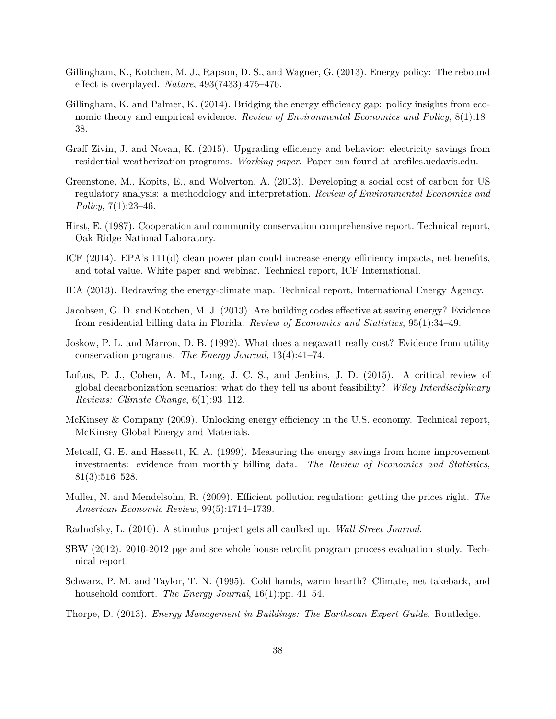- Gillingham, K., Kotchen, M. J., Rapson, D. S., and Wagner, G. (2013). Energy policy: The rebound effect is overplayed. *Nature*, 493(7433):475–476.
- Gillingham, K. and Palmer, K. (2014). Bridging the energy efficiency gap: policy insights from economic theory and empirical evidence. *Review of Environmental Economics and Policy*, 8(1):18– 38.
- Graff Zivin, J. and Novan, K. (2015). Upgrading efficiency and behavior: electricity savings from residential weatherization programs. *Working paper*. Paper can found at arefiles.ucdavis.edu.
- Greenstone, M., Kopits, E., and Wolverton, A. (2013). Developing a social cost of carbon for US regulatory analysis: a methodology and interpretation. *Review of Environmental Economics and Policy*, 7(1):23–46.
- Hirst, E. (1987). Cooperation and community conservation comprehensive report. Technical report, Oak Ridge National Laboratory.
- ICF (2014). EPA's 111(d) clean power plan could increase energy efficiency impacts, net benefits, and total value. White paper and webinar. Technical report, ICF International.
- IEA (2013). Redrawing the energy-climate map. Technical report, International Energy Agency.
- Jacobsen, G. D. and Kotchen, M. J. (2013). Are building codes effective at saving energy? Evidence from residential billing data in Florida. *Review of Economics and Statistics*, 95(1):34–49.
- Joskow, P. L. and Marron, D. B. (1992). What does a negawatt really cost? Evidence from utility conservation programs. *The Energy Journal*, 13(4):41–74.
- Loftus, P. J., Cohen, A. M., Long, J. C. S., and Jenkins, J. D. (2015). A critical review of global decarbonization scenarios: what do they tell us about feasibility? *Wiley Interdisciplinary Reviews: Climate Change*, 6(1):93–112.
- McKinsey & Company (2009). Unlocking energy efficiency in the U.S. economy. Technical report, McKinsey Global Energy and Materials.
- Metcalf, G. E. and Hassett, K. A. (1999). Measuring the energy savings from home improvement investments: evidence from monthly billing data. *The Review of Economics and Statistics*, 81(3):516–528.
- Muller, N. and Mendelsohn, R. (2009). Efficient pollution regulation: getting the prices right. *The American Economic Review*, 99(5):1714–1739.
- Radnofsky, L. (2010). A stimulus project gets all caulked up. *Wall Street Journal*.
- SBW (2012). 2010-2012 pge and sce whole house retrofit program process evaluation study. Technical report.
- Schwarz, P. M. and Taylor, T. N. (1995). Cold hands, warm hearth? Climate, net takeback, and household comfort. *The Energy Journal*, 16(1):pp. 41–54.
- Thorpe, D. (2013). *Energy Management in Buildings: The Earthscan Expert Guide*. Routledge.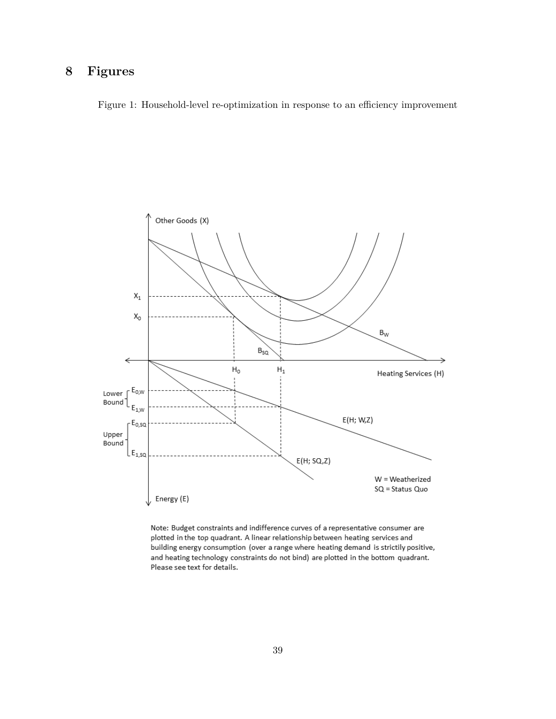# **8 Figures**

Figure 1: Household-level re-optimization in response to an efficiency improvement



Note: Budget constraints and indifference curves of a representative consumer are plotted in the top quadrant. A linear relationship between heating services and building energy consumption (over a range where heating demand is strictily positive, and heating technology constraints do not bind) are plotted in the bottom quadrant. Please see text for details.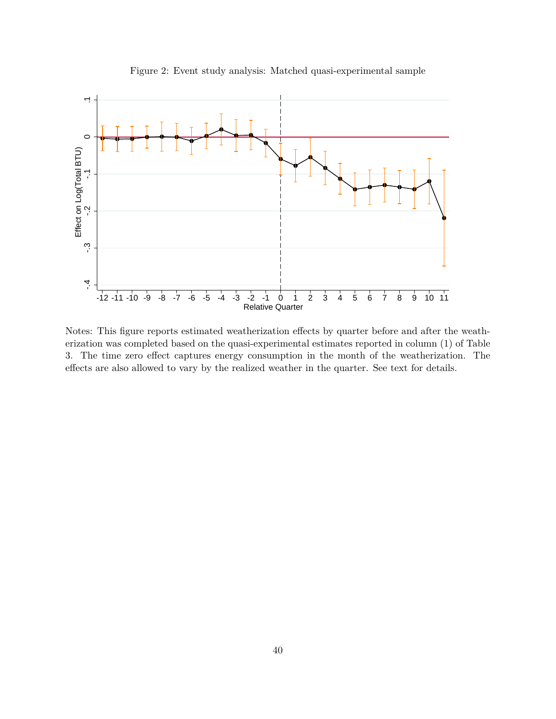

Figure 2: Event study analysis: Matched quasi-experimental sample

Notes: This figure reports estimated weatherization effects by quarter before and after the weatherization was completed based on the quasi-experimental estimates reported in column (1) of Table 3. The time zero effect captures energy consumption in the month of the weatherization. The effects are also allowed to vary by the realized weather in the quarter. See text for details.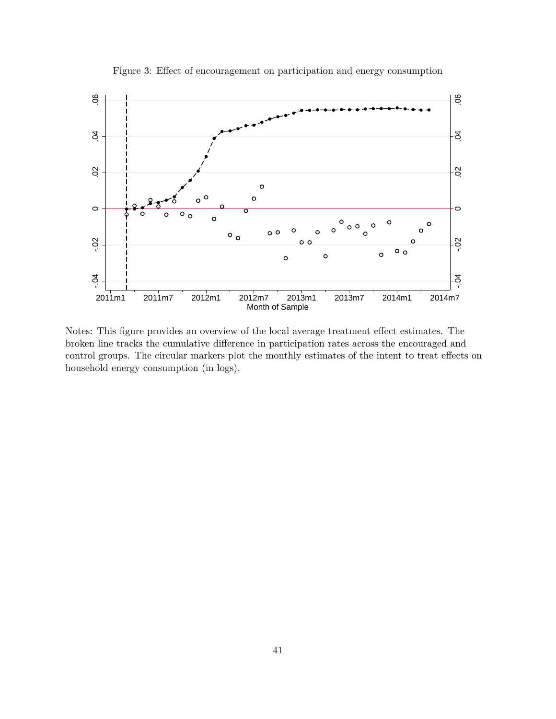

Figure 3: Effect of encouragement on participation and energy consumption

Notes: This figure provides an overview of the local average treatment effect estimates. The broken line tracks the cumulative difference in participation rates across the encouraged and control groups. The circular markers plot the monthly estimates of the intent to treat effects on household energy consumption (in logs).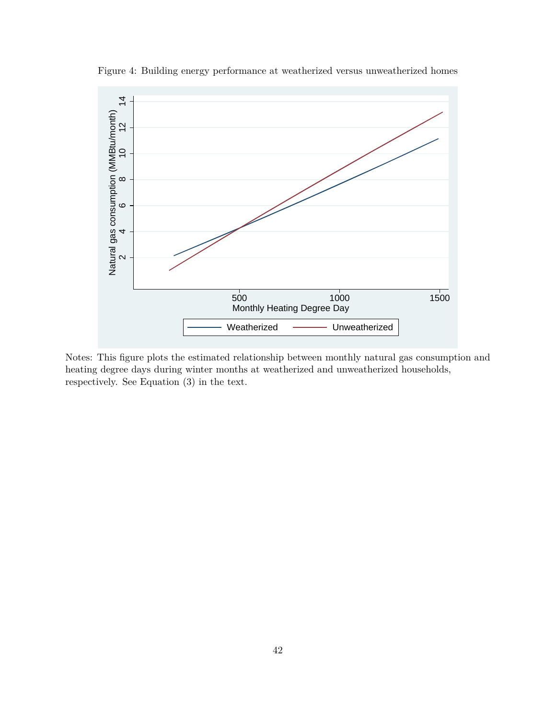

Figure 4: Building energy performance at weatherized versus unweatherized homes

Notes: This figure plots the estimated relationship between monthly natural gas consumption and heating degree days during winter months at weatherized and unweatherized households, respectively. See Equation (3) in the text.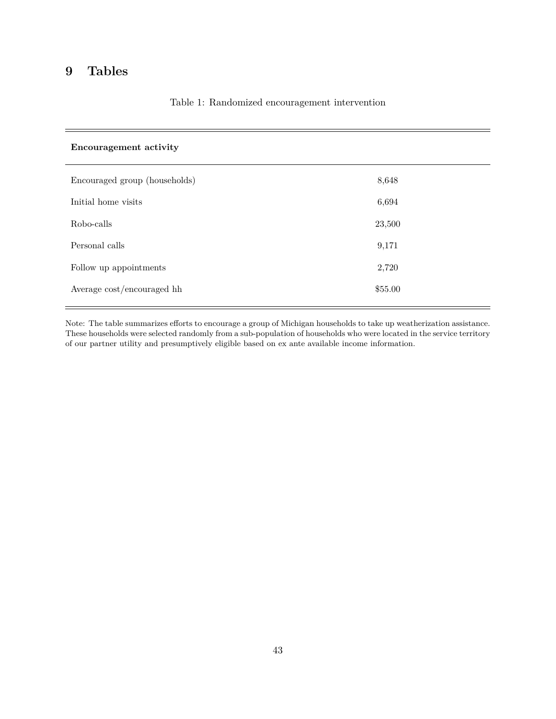# **9 Tables**

| <b>Encouragement activity</b> |         |
|-------------------------------|---------|
| Encouraged group (households) | 8,648   |
| Initial home visits           | 6,694   |
| Robo-calls                    | 23,500  |
| Personal calls                | 9,171   |
| Follow up appointments        | 2,720   |
| Average cost/encouraged hh    | \$55.00 |

## Table 1: Randomized encouragement intervention

Note: The table summarizes efforts to encourage a group of Michigan households to take up weatherization assistance. These households were selected randomly from a sub-population of households who were located in the service territory of our partner utility and presumptively eligible based on ex ante available income information.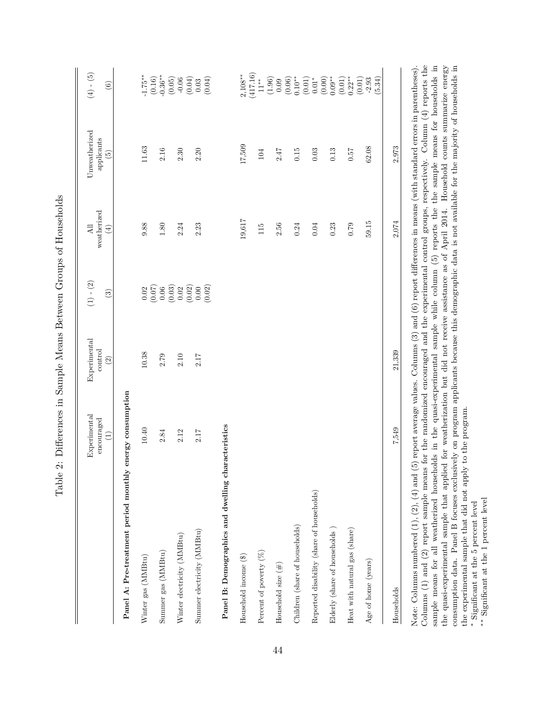|                                                    | Experimental<br>encouraged<br>$\widehat{\Xi}$ | Experimental<br>control<br>(2) | $(1)$ - $(2)$<br>$\widehat{S}$                                                                                                                                                                                                                                                                                                                                                                                      | weatherized<br>$\overline{AB}$<br>$\left( 4\right)$ | Unweatherized<br>applicants<br>$\widetilde{5}$ | $(4)-(5)$<br>$\odot$                                                                                                                                                                                                                                                                                    |
|----------------------------------------------------|-----------------------------------------------|--------------------------------|---------------------------------------------------------------------------------------------------------------------------------------------------------------------------------------------------------------------------------------------------------------------------------------------------------------------------------------------------------------------------------------------------------------------|-----------------------------------------------------|------------------------------------------------|---------------------------------------------------------------------------------------------------------------------------------------------------------------------------------------------------------------------------------------------------------------------------------------------------------|
| Panel A: Pre-treatment period monthly              | energy consumption                            |                                |                                                                                                                                                                                                                                                                                                                                                                                                                     |                                                     |                                                |                                                                                                                                                                                                                                                                                                         |
| Winter gas (MMBtu)                                 | $10.40\,$                                     | 10.38                          |                                                                                                                                                                                                                                                                                                                                                                                                                     | 9.88                                                | $11.63\,$                                      |                                                                                                                                                                                                                                                                                                         |
| Summer gas $(\mathrm{MMBtu})$                      | 2.84                                          | 2.79                           |                                                                                                                                                                                                                                                                                                                                                                                                                     | 1.80                                                | $2.16\,$                                       |                                                                                                                                                                                                                                                                                                         |
| Winter electricity (MMBtu)                         | 2.12                                          | $2.10\,$                       |                                                                                                                                                                                                                                                                                                                                                                                                                     | 2.24                                                | 2.30                                           |                                                                                                                                                                                                                                                                                                         |
| Summer electricity (MMBtu)                         | 2.17                                          | 2.17                           | $\begin{array}{l} 0 \\ 0 \\ 0 \\ 0 \\ 0 \\ \hline \end{array} \hspace{-.5cm} \begin{array}{l} 0 \\ 0 \\ 0 \\ 0 \\ 0 \\ \hline \end{array} \hspace{-.5cm} \begin{array}{l} 0 \\ 0 \\ 0 \\ 0 \\ 0 \\ \hline \end{array} \hspace{-.5cm} \begin{array}{l} 0 \\ 0 \\ 0 \\ 0 \\ 0 \\ \hline \end{array} \hspace{-.5cm} \begin{array}{l} 0 \\ 0 \\ 0 \\ 0 \\ \hline \end{array} \hspace{-.5cm} \end{array} \hspace{-.5cm}$ | 2.23                                                | 2.20                                           | $-1.75**$<br>$(0.16)$<br>$(0.05)$<br>$(0.05)$<br>$(0.04)$<br>$(0.04)$<br>$(0.04)$                                                                                                                                                                                                                       |
| Panel B: Demographics and dwelling characteristics |                                               |                                |                                                                                                                                                                                                                                                                                                                                                                                                                     |                                                     |                                                |                                                                                                                                                                                                                                                                                                         |
| Household income (\$)                              |                                               |                                |                                                                                                                                                                                                                                                                                                                                                                                                                     | 19,617                                              | 17,509                                         | $2,108**$                                                                                                                                                                                                                                                                                               |
| Percent of poverty $(\%)$                          |                                               |                                |                                                                                                                                                                                                                                                                                                                                                                                                                     | 115                                                 | 104                                            | (417.16)<br>$11^{**}$                                                                                                                                                                                                                                                                                   |
| Household size $(\#)$                              |                                               |                                |                                                                                                                                                                                                                                                                                                                                                                                                                     | 2.56                                                | 2.47                                           |                                                                                                                                                                                                                                                                                                         |
| Children (share of households)                     |                                               |                                |                                                                                                                                                                                                                                                                                                                                                                                                                     | 0.24                                                | 0.15                                           |                                                                                                                                                                                                                                                                                                         |
| Reported disability (share of households)          |                                               |                                |                                                                                                                                                                                                                                                                                                                                                                                                                     | 0.04                                                | 0.03                                           |                                                                                                                                                                                                                                                                                                         |
| Elderly (share of households)                      |                                               |                                |                                                                                                                                                                                                                                                                                                                                                                                                                     | 0.23                                                | 0.13                                           |                                                                                                                                                                                                                                                                                                         |
| Heat with natural gas (share)                      |                                               |                                |                                                                                                                                                                                                                                                                                                                                                                                                                     | 0.79                                                | 0.57                                           |                                                                                                                                                                                                                                                                                                         |
| Age of home (years)                                |                                               |                                |                                                                                                                                                                                                                                                                                                                                                                                                                     | 59.15                                               | 62.08                                          | $\begin{array}{c} (1.96)\\[-4pt] 0.09\\[-4pt] 0.06)\\[-4pt] 0.00\\[-4pt] 0.01\\[-4pt] 0.01\\[-4pt] 0.00\\[-4pt] 0.01\\[-4pt] 0.00\\[-4pt] 0.01\\[-4pt] 0.01\\[-4pt] 0.01\\[-4pt] 0.01\\[-4pt] 0.02\\[-4pt] 0.03\\[-4pt] 0.03\\[-4pt] 0.03\\[-4pt] 0.34\\[-4pt] 0.03\\[-4pt] 0.34\\[-4pt] 0.01\\[-4pt] $ |
| Households                                         | 7,549                                         | 21,339                         |                                                                                                                                                                                                                                                                                                                                                                                                                     | 2,074                                               | 2,973                                          |                                                                                                                                                                                                                                                                                                         |

Table 2: Differences in Sample Means Between Groups of Households Table 2: Differences in Sample Means Between Groups of Households Note: Columns numbered  $(1)$ ,  $(2)$ ,  $(4)$  and  $(5)$  report average values. Columns  $(3)$  and  $(6)$  report differences in means (with standard errors in parentheses).<br>Columns  $(1)$  and  $(2)$  report sample means for the ra the quasi-experimental sample that applied for weatherization but did not receive assistance as of April 2014. Household counts summarize energy consumption data. Panel B focuses exclusively on program applicants because t Columns (1) and (2) report sample means for the randomized encouraged and the experimental control groups, respectively. Column (4) reports the sample means for all weatherized households in the quasi-experimental sample while column (5) reports the the sample means for households in the quasi-experimental sample that applied for weatherization but did not receive assistance as of April 2014. Household counts summarize energy consumption data. Panel B focuses exclusively on program applicants because this demographic data is not available for the majority of households in Note: Columns numbered  $(1)$ ,  $(2)$ ,  $(4)$  and  $(5)$  report average values. Columns  $(3)$  and  $(6)$  report differences in means (with standard errors in parentheses). the experimental sample that did not apply to the program.  $\hspace{0.1mm}^*$  Significant at the 5 percent level the experimental sample that did not apply to the program.

Significant at the 5 percent level

 $\!$  Significant at the 1 percent level ∗∗ Significant at the 1 percent level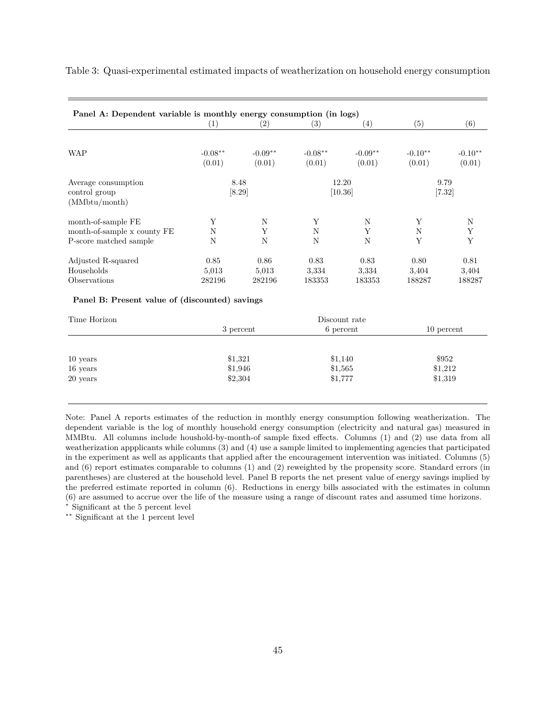Table 3: Quasi-experimental estimated impacts of weatherization on household energy consumption

| Panel A: Dependent variable is monthly energy consumption (in logs) |                   |                   |                   |                    |           |                  |
|---------------------------------------------------------------------|-------------------|-------------------|-------------------|--------------------|-----------|------------------|
|                                                                     | $\left( 1\right)$ | $\left( 2\right)$ | $\left( 3\right)$ | $\left( 4\right)$  | (5)       | (6)              |
| <b>WAP</b>                                                          | $-0.08**$         | $-0.09**$         | $-0.08**$         | $-0.09**$          | $-0.10**$ | $-0.10**$        |
|                                                                     | (0.01)            | (0.01)            | (0.01)            | (0.01)             | (0.01)    | (0.01)           |
| Average consumption<br>control group                                |                   | 8.48<br>[8.29]    |                   | 12.20<br>$[10.36]$ |           | 9.79<br>$[7.32]$ |
| (MMbtu/month)                                                       |                   |                   |                   |                    |           |                  |
| month-of-sample FE                                                  | Υ                 | N                 | Y                 | N                  | Y         | N                |
| month-of-sample x county FE                                         | N                 | Y                 | N                 | Y                  | N         | Y                |
| P-score matched sample                                              | N                 | N                 | N                 | N                  | Y         | Y                |
| Adjusted R-squared                                                  | 0.85              | 0.86              | 0.83              | 0.83               | 0.80      | 0.81             |
| Households                                                          | 5,013             | 5,013             | 3,334             | 3,334              | 3,404     | 3,404            |
| Observations                                                        | 282196            | 282196            | 183353            | 183353             | 188287    | 188287           |

#### **Panel B: Present value of (discounted) savings**

| Time Horizon |           | Discount rate |            |
|--------------|-----------|---------------|------------|
|              | 3 percent | 6 percent     | 10 percent |
|              |           |               |            |
| $10$ years   | \$1,321   | \$1,140       | \$952      |
| $16$ years   | \$1,946   | \$1,565       | \$1,212    |
| 20 years     | \$2,304   | \$1,777       | \$1,319    |
|              |           |               |            |

Note: Panel A reports estimates of the reduction in monthly energy consumption following weatherization. The dependent variable is the log of monthly household energy consumption (electricity and natural gas) measured in MMBtu. All columns include houshold-by-month-of sample fixed effects. Columns (1) and (2) use data from all weatherization appplicants while columns (3) and (4) use a sample limited to implementing agencies that participated in the experiment as well as applicants that applied after the encouragement intervention was initiated. Columns (5) and (6) report estimates comparable to columns (1) and (2) reweighted by the propensity score. Standard errors (in parentheses) are clustered at the household level. Panel B reports the net present value of energy savings implied by the preferred estimate reported in column (6). Reductions in energy bills associated with the estimates in column (6) are assumed to accrue over the life of the measure using a range of discount rates and assumed time horizons.

<sup>∗</sup> Significant at the 5 percent level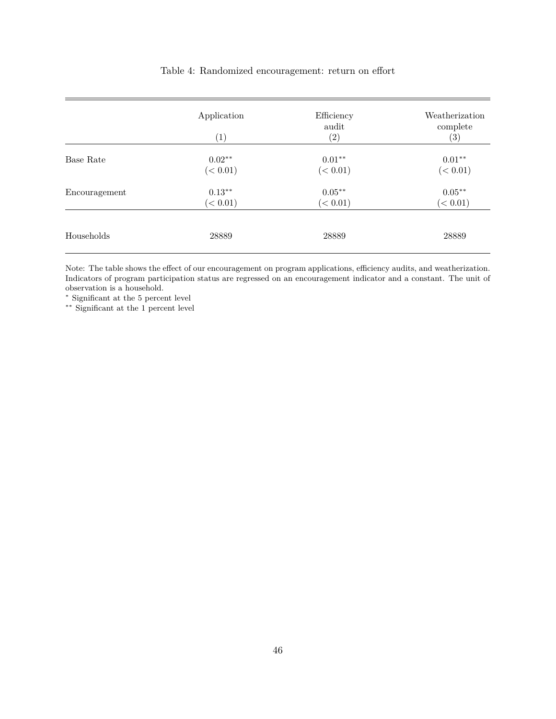|           | Application          | Efficiency<br>audit  | Weatherization<br>complete |
|-----------|----------------------|----------------------|----------------------------|
|           | $\left(1\right)$     | (2)                  | (3)                        |
| Base Rate | $0.02**$<br>(< 0.01) | $0.01**$<br>(< 0.01) | $0.01**$<br>(< 0.01)       |
|           |                      |                      |                            |

(*<* 0*.*01) (*<* 0*.*01) (*<* 0*.*01)

Encouragement  $0.13$ <sup>∗</sup>\*  $0.05$ <sup>\*\*</sup>  $0.05$ <sup>\*\*</sup> 0.05<sup>\*\*</sup>

Households 28889 28889 28889

### Table 4: Randomized encouragement: return on effort

Note: The table shows the effect of our encouragement on program applications, efficiency audits, and weatherization. Indicators of program participation status are regressed on an encouragement indicator and a constant. The unit of observation is a household.

<sup>∗</sup> Significant at the 5 percent level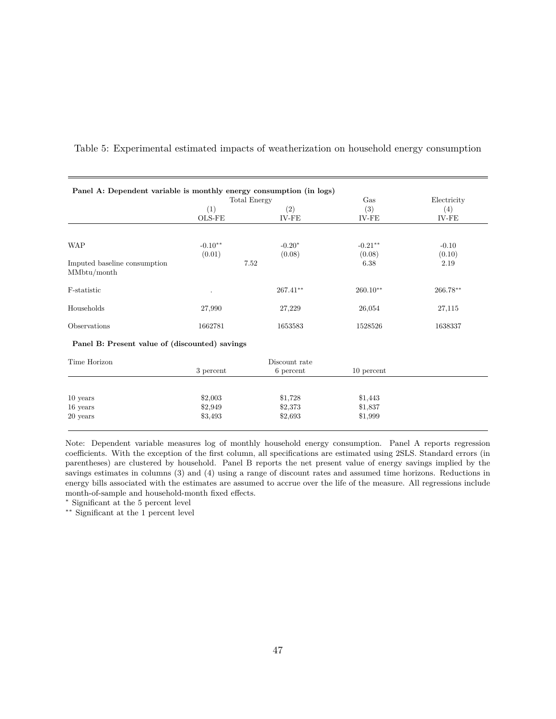|                                                |               | <b>Total Energy</b>               | Gas                 | Electricity       |
|------------------------------------------------|---------------|-----------------------------------|---------------------|-------------------|
|                                                | (1)<br>OLS-FE | $\left( 2\right)$<br><b>IV-FE</b> | (3)<br>IV-FE        | (4)<br>$IV-FE$    |
|                                                | $-0.10**$     | $-0.20*$                          |                     |                   |
| <b>WAP</b>                                     | (0.01)        | (0.08)                            | $-0.21**$<br>(0.08) | $-0.10$<br>(0.10) |
| Imputed baseline consumption<br>MMbtu/month    |               | 7.52                              | 6.38                | 2.19              |
| F-statistic                                    |               | $267.41**$                        | $260.10**$          | $266.78**$        |
| Households                                     | 27,990        | 27,229                            | 26,054              | 27,115            |
| Observations                                   | 1662781       | 1653583                           | 1528526             | 1638337           |
| Panel B: Present value of (discounted) savings |               |                                   |                     |                   |
| Time Horizon                                   |               | Discount rate                     |                     |                   |
|                                                | 3 percent     | 6 percent                         | 10 percent          |                   |
| $10$ years                                     | \$2,003       | \$1,728                           | \$1,443             |                   |

Table 5: Experimental estimated impacts of weatherization on household energy consumption

Note: Dependent variable measures log of monthly household energy consumption. Panel A reports regression coefficients. With the exception of the first column, all specifications are estimated using 2SLS. Standard errors (in parentheses) are clustered by household. Panel B reports the net present value of energy savings implied by the savings estimates in columns (3) and (4) using a range of discount rates and assumed time horizons. Reductions in energy bills associated with the estimates are assumed to accrue over the life of the measure. All regressions include month-of-sample and household-month fixed effects.

16 years \$2,949 \$2,373 \$1,837 20 years \$3,493 \$2,693 \$1,999

<sup>∗</sup> Significant at the 5 percent level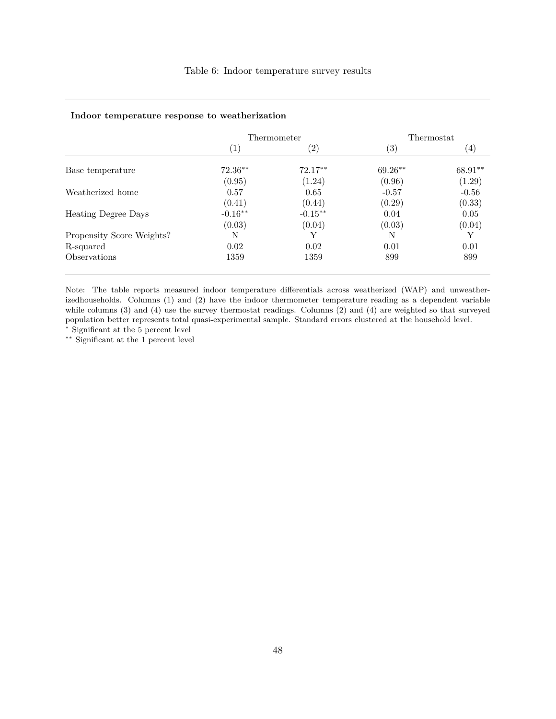#### **Indoor temperature response to weatherization**

| Thermometer      |                   |                   | Thermostat |  |
|------------------|-------------------|-------------------|------------|--|
| $\left(1\right)$ | $\left( 2\right)$ | $\left( 3\right)$ | (4)        |  |
| $72.36**$        | $72.17**$         | $69.26**$         | 68.91**    |  |
| (0.95)           | (1.24)            | (0.96)            | (1.29)     |  |
| 0.57             | 0.65              | $-0.57$           | $-0.56$    |  |
| (0.41)           | (0.44)            | (0.29)            | (0.33)     |  |
| $-0.16**$        | $-0.15***$        | 0.04              | 0.05       |  |
| (0.03)           | (0.04)            | (0.03)            | (0.04)     |  |
| N                | Y                 | N                 |            |  |
| 0.02             | 0.02              | 0.01              | 0.01       |  |
| 1359             | 1359              | 899               | 899        |  |
|                  |                   |                   |            |  |

Note: The table reports measured indoor temperature differentials across weatherized (WAP) and unweatherizedhouseholds. Columns (1) and (2) have the indoor thermometer temperature reading as a dependent variable while columns (3) and (4) use the survey thermostat readings. Columns (2) and (4) are weighted so that surveyed population better represents total quasi-experimental sample. Standard errors clustered at the household level.

<sup>∗</sup> Significant at the 5 percent level ∗∗ Significant at the 1 percent level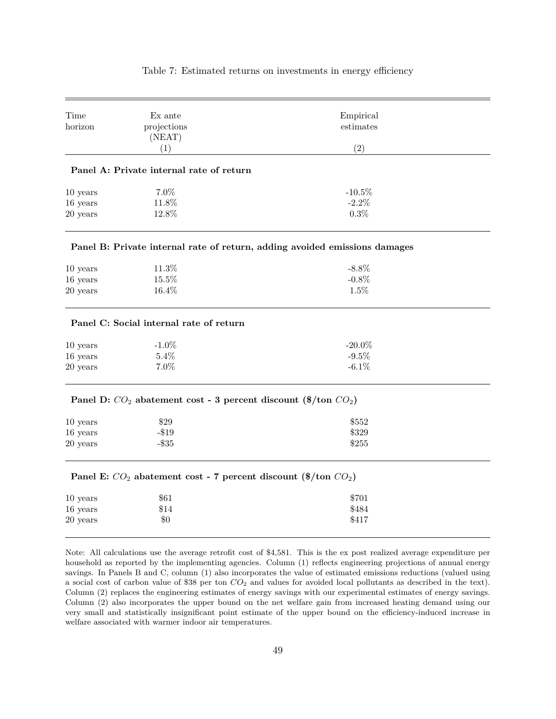| Time     | Ex ante                                                              | Empirical                                                                                                             |
|----------|----------------------------------------------------------------------|-----------------------------------------------------------------------------------------------------------------------|
| horizon  | projections                                                          | estimates                                                                                                             |
|          | (NEAT)                                                               |                                                                                                                       |
|          | (1)                                                                  | (2)                                                                                                                   |
|          | Panel A: Private internal rate of return                             |                                                                                                                       |
| 10 years | 7.0%                                                                 | $-10.5%$                                                                                                              |
| 16 years | 11.8%                                                                | $-2.2\%$                                                                                                              |
| 20 years | 12.8%                                                                | 0.3%                                                                                                                  |
|          |                                                                      | Panel B: Private internal rate of return, adding avoided emissions damages                                            |
| 10 years | 11.3%                                                                | $-8.8\%$                                                                                                              |
| 16 years | 15.5%                                                                | $-0.8\%$                                                                                                              |
| 20 years | 16.4%                                                                | 1.5%                                                                                                                  |
|          | Panel C: Social internal rate of return                              |                                                                                                                       |
| 10 years | $-1.0\%$                                                             | $-20.0\%$                                                                                                             |
| 16 years | 5.4%                                                                 | $-9.5%$                                                                                                               |
| 20 years | $7.0\%$                                                              | $-6.1\%$                                                                                                              |
|          | Panel D: $CO_2$ abatement cost - 3 percent discount (\$/ton $CO_2$ ) |                                                                                                                       |
| 10 years | \$29                                                                 | \$552                                                                                                                 |
| 16 years | $- $19$                                                              | \$329                                                                                                                 |
| 20 years | $-$ \$35                                                             | \$255                                                                                                                 |
|          | Panel E: $CO_2$ abatement cost - 7 percent discount (\$/ton $CO_2$ ) |                                                                                                                       |
| 10 years | \$61                                                                 | \$701                                                                                                                 |
| 16 years | \$14                                                                 | \$484                                                                                                                 |
| 20 years | $\$0$                                                                | \$417                                                                                                                 |
|          |                                                                      | Note: All calculations use the average retrofit cost of \$4,581. This is the ex post realized average expenditure per |
|          |                                                                      | household as reported by the implementing agencies. Column (1) reflects engineering projections of annual energy      |

Table 7: Estimated returns on investments in energy efficiency

savings. In Panels B and C, column (1) also incorporates the value of estimated emissions reductions (valued using a social cost of carbon value of \$38 per ton *CO*<sup>2</sup> and values for avoided local pollutants as described in the text). Column (2) replaces the engineering estimates of energy savings with our experimental estimates of energy savings. Column (2) also incorporates the upper bound on the net welfare gain from increased heating demand using our very small and statistically insignificant point estimate of the upper bound on the efficiency-induced increase in welfare associated with warmer indoor air temperatures.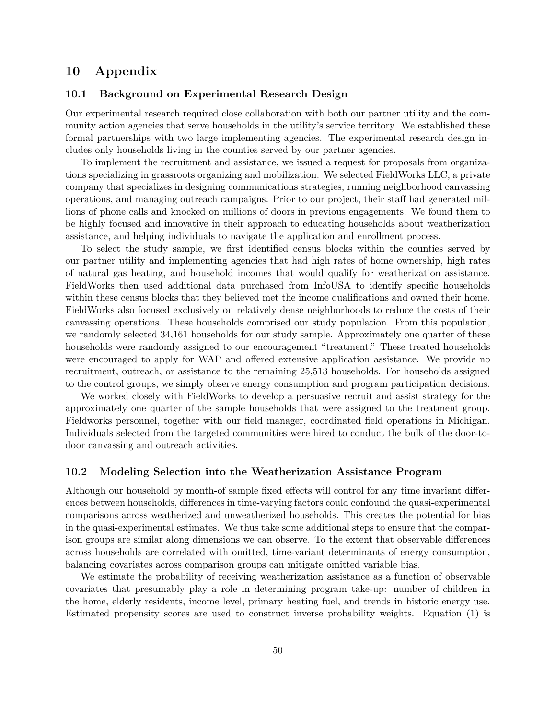# **10 Appendix**

## **10.1 Background on Experimental Research Design**

Our experimental research required close collaboration with both our partner utility and the community action agencies that serve households in the utility's service territory. We established these formal partnerships with two large implementing agencies. The experimental research design includes only households living in the counties served by our partner agencies.

To implement the recruitment and assistance, we issued a request for proposals from organizations specializing in grassroots organizing and mobilization. We selected FieldWorks LLC, a private company that specializes in designing communications strategies, running neighborhood canvassing operations, and managing outreach campaigns. Prior to our project, their staff had generated millions of phone calls and knocked on millions of doors in previous engagements. We found them to be highly focused and innovative in their approach to educating households about weatherization assistance, and helping individuals to navigate the application and enrollment process.

To select the study sample, we first identified census blocks within the counties served by our partner utility and implementing agencies that had high rates of home ownership, high rates of natural gas heating, and household incomes that would qualify for weatherization assistance. FieldWorks then used additional data purchased from InfoUSA to identify specific households within these census blocks that they believed met the income qualifications and owned their home. FieldWorks also focused exclusively on relatively dense neighborhoods to reduce the costs of their canvassing operations. These households comprised our study population. From this population, we randomly selected 34,161 households for our study sample. Approximately one quarter of these households were randomly assigned to our encouragement "treatment." These treated households were encouraged to apply for WAP and offered extensive application assistance. We provide no recruitment, outreach, or assistance to the remaining 25,513 households. For households assigned to the control groups, we simply observe energy consumption and program participation decisions.

We worked closely with FieldWorks to develop a persuasive recruit and assist strategy for the approximately one quarter of the sample households that were assigned to the treatment group. Fieldworks personnel, together with our field manager, coordinated field operations in Michigan. Individuals selected from the targeted communities were hired to conduct the bulk of the door-todoor canvassing and outreach activities.

#### **10.2 Modeling Selection into the Weatherization Assistance Program**

Although our household by month-of sample fixed effects will control for any time invariant differences between households, differences in time-varying factors could confound the quasi-experimental comparisons across weatherized and unweatherized households. This creates the potential for bias in the quasi-experimental estimates. We thus take some additional steps to ensure that the comparison groups are similar along dimensions we can observe. To the extent that observable differences across households are correlated with omitted, time-variant determinants of energy consumption, balancing covariates across comparison groups can mitigate omitted variable bias.

We estimate the probability of receiving weatherization assistance as a function of observable covariates that presumably play a role in determining program take-up: number of children in the home, elderly residents, income level, primary heating fuel, and trends in historic energy use. Estimated propensity scores are used to construct inverse probability weights. Equation (1) is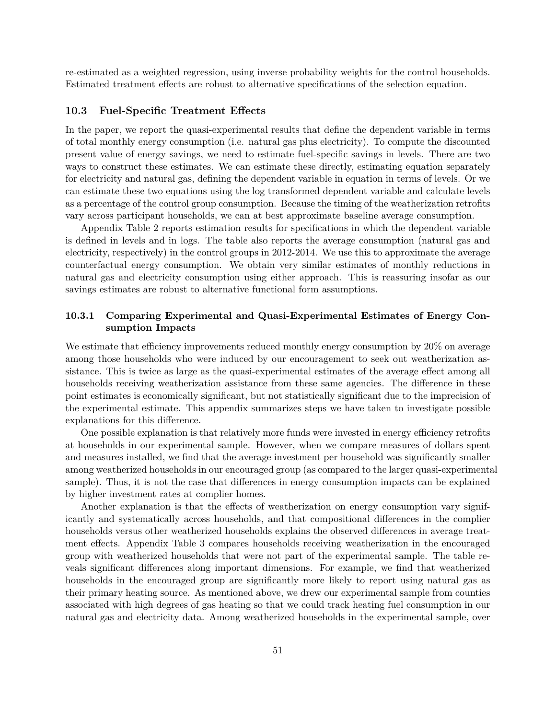re-estimated as a weighted regression, using inverse probability weights for the control households. Estimated treatment effects are robust to alternative specifications of the selection equation.

### **10.3 Fuel-Specific Treatment Effects**

In the paper, we report the quasi-experimental results that define the dependent variable in terms of total monthly energy consumption (i.e. natural gas plus electricity). To compute the discounted present value of energy savings, we need to estimate fuel-specific savings in levels. There are two ways to construct these estimates. We can estimate these directly, estimating equation separately for electricity and natural gas, defining the dependent variable in equation in terms of levels. Or we can estimate these two equations using the log transformed dependent variable and calculate levels as a percentage of the control group consumption. Because the timing of the weatherization retrofits vary across participant households, we can at best approximate baseline average consumption.

Appendix Table 2 reports estimation results for specifications in which the dependent variable is defined in levels and in logs. The table also reports the average consumption (natural gas and electricity, respectively) in the control groups in 2012-2014. We use this to approximate the average counterfactual energy consumption. We obtain very similar estimates of monthly reductions in natural gas and electricity consumption using either approach. This is reassuring insofar as our savings estimates are robust to alternative functional form assumptions.

## **10.3.1 Comparing Experimental and Quasi-Experimental Estimates of Energy Consumption Impacts**

We estimate that efficiency improvements reduced monthly energy consumption by 20% on average among those households who were induced by our encouragement to seek out weatherization assistance. This is twice as large as the quasi-experimental estimates of the average effect among all households receiving weatherization assistance from these same agencies. The difference in these point estimates is economically significant, but not statistically significant due to the imprecision of the experimental estimate. This appendix summarizes steps we have taken to investigate possible explanations for this difference.

One possible explanation is that relatively more funds were invested in energy efficiency retrofits at households in our experimental sample. However, when we compare measures of dollars spent and measures installed, we find that the average investment per household was significantly smaller among weatherized households in our encouraged group (as compared to the larger quasi-experimental sample). Thus, it is not the case that differences in energy consumption impacts can be explained by higher investment rates at complier homes.

Another explanation is that the effects of weatherization on energy consumption vary significantly and systematically across households, and that compositional differences in the complier households versus other weatherized households explains the observed differences in average treatment effects. Appendix Table 3 compares households receiving weatherization in the encouraged group with weatherized households that were not part of the experimental sample. The table reveals significant differences along important dimensions. For example, we find that weatherized households in the encouraged group are significantly more likely to report using natural gas as their primary heating source. As mentioned above, we drew our experimental sample from counties associated with high degrees of gas heating so that we could track heating fuel consumption in our natural gas and electricity data. Among weatherized households in the experimental sample, over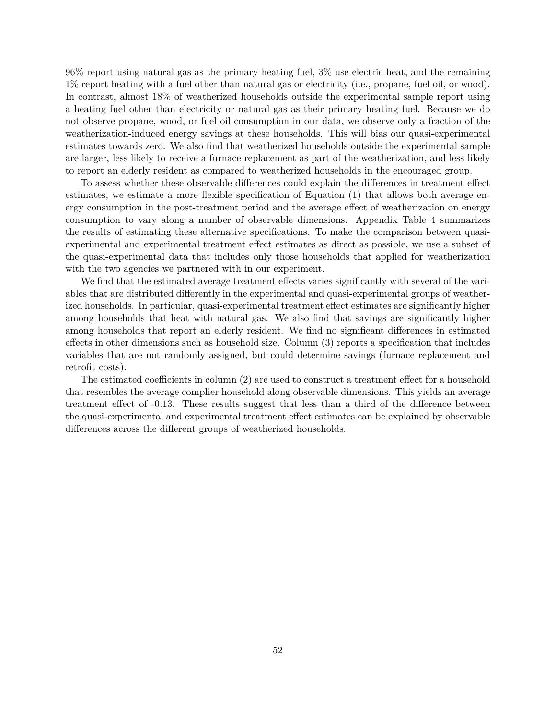96% report using natural gas as the primary heating fuel, 3% use electric heat, and the remaining 1% report heating with a fuel other than natural gas or electricity (i.e., propane, fuel oil, or wood). In contrast, almost 18% of weatherized households outside the experimental sample report using a heating fuel other than electricity or natural gas as their primary heating fuel. Because we do not observe propane, wood, or fuel oil consumption in our data, we observe only a fraction of the weatherization-induced energy savings at these households. This will bias our quasi-experimental estimates towards zero. We also find that weatherized households outside the experimental sample are larger, less likely to receive a furnace replacement as part of the weatherization, and less likely to report an elderly resident as compared to weatherized households in the encouraged group.

To assess whether these observable differences could explain the differences in treatment effect estimates, we estimate a more flexible specification of Equation (1) that allows both average energy consumption in the post-treatment period and the average effect of weatherization on energy consumption to vary along a number of observable dimensions. Appendix Table 4 summarizes the results of estimating these alternative specifications. To make the comparison between quasiexperimental and experimental treatment effect estimates as direct as possible, we use a subset of the quasi-experimental data that includes only those households that applied for weatherization with the two agencies we partnered with in our experiment.

We find that the estimated average treatment effects varies significantly with several of the variables that are distributed differently in the experimental and quasi-experimental groups of weatherized households. In particular, quasi-experimental treatment effect estimates are significantly higher among households that heat with natural gas. We also find that savings are significantly higher among households that report an elderly resident. We find no significant differences in estimated effects in other dimensions such as household size. Column (3) reports a specification that includes variables that are not randomly assigned, but could determine savings (furnace replacement and retrofit costs).

The estimated coefficients in column (2) are used to construct a treatment effect for a household that resembles the average complier household along observable dimensions. This yields an average treatment effect of -0.13. These results suggest that less than a third of the difference between the quasi-experimental and experimental treatment effect estimates can be explained by observable differences across the different groups of weatherized households.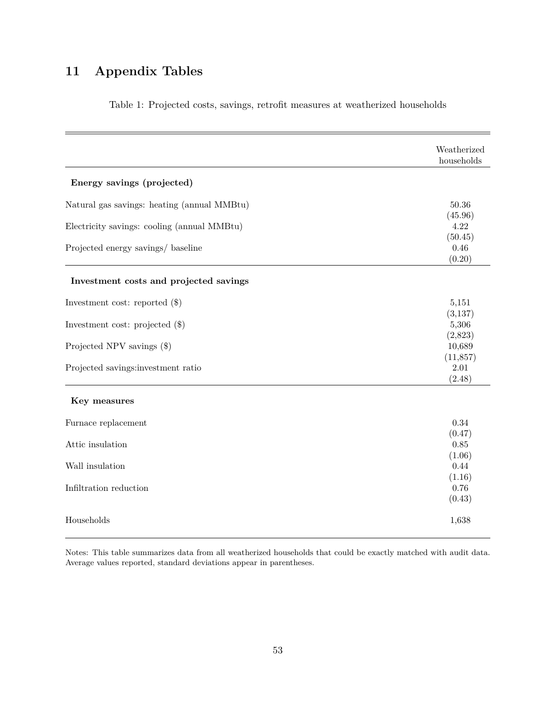# **11 Appendix Tables**

|                                             | Weatherized<br>households   |
|---------------------------------------------|-----------------------------|
| Energy savings (projected)                  |                             |
| Natural gas savings: heating (annual MMBtu) | 50.36                       |
| Electricity savings: cooling (annual MMBtu) | (45.96)<br>4.22             |
| Projected energy savings/ baseline          | (50.45)<br>0.46<br>(0.20)   |
| Investment costs and projected savings      |                             |
| Investment cost: reported $(\$)$            | 5,151                       |
| Investment cost: projected $(\$)$           | (3,137)<br>5,306            |
| Projected NPV savings (\$)                  | (2,823)<br>10,689           |
| Projected savings:investment ratio          | (11, 857)<br>2.01<br>(2.48) |
| Key measures                                |                             |
| Furnace replacement                         | 0.34                        |
| Attic insulation                            | (0.47)<br>0.85              |
| Wall insulation                             | (1.06)<br>0.44              |
| Infiltration reduction                      | (1.16)<br>0.76<br>(0.43)    |
| Households                                  | 1,638                       |

Table 1: Projected costs, savings, retrofit measures at weatherized households

Notes: This table summarizes data from all weatherized households that could be exactly matched with audit data. Average values reported, standard deviations appear in parentheses.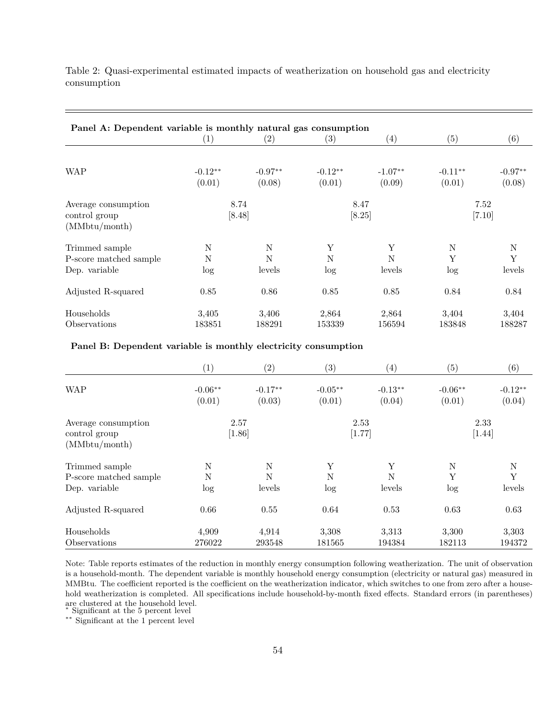| Panel A: Dependent variable is monthly natural gas consumption |           |             |           |                   |            |             |
|----------------------------------------------------------------|-----------|-------------|-----------|-------------------|------------|-------------|
|                                                                | (1)       | (2)         | (3)       | $\left( 4\right)$ | (5)        | (6)         |
|                                                                |           |             |           |                   |            |             |
| <b>WAP</b>                                                     | $-0.12**$ | $-0.97**$   | $-0.12**$ | $-1.07**$         | $-0.11***$ | $-0.97**$   |
|                                                                | (0.01)    | (0.08)      | (0.01)    | (0.09)            | (0.01)     | (0.08)      |
| Average consumption                                            |           | 8.74        |           | 8.47              |            | 7.52        |
| control group                                                  |           | [8.48]      |           | [8.25]            |            | $[7.10]$    |
| (MMbtu/month)                                                  |           |             |           |                   |            |             |
| Trimmed sample                                                 | N         | $\mathbf N$ | Y         | Y                 | N          | $\mathbf N$ |
| P-score matched sample                                         | N         | N           | N         | N                 | Y          | Y           |
| Dep. variable                                                  | $\log$    | levels      | log       | levels            | log        | levels      |
| Adjusted R-squared                                             | 0.85      | 0.86        | 0.85      | 0.85              | 0.84       | 0.84        |
| Households                                                     | 3,405     | 3,406       | 2,864     | 2,864             | 3,404      | 3,404       |
| Observations                                                   | 183851    | 188291      | 153339    | 156594            | 183848     | 188287      |

Table 2: Quasi-experimental estimated impacts of weatherization on household gas and electricity consumption

### **Panel B: Dependent variable is monthly electricity consumption**

|                                                       | (1)                 | (2)                 | (3)                 | $\left(4\right)$    | $\left( 5\right)$   | (6)                 |
|-------------------------------------------------------|---------------------|---------------------|---------------------|---------------------|---------------------|---------------------|
| <b>WAP</b>                                            | $-0.06**$<br>(0.01) | $-0.17**$<br>(0.03) | $-0.05**$<br>(0.01) | $-0.13**$<br>(0.04) | $-0.06**$<br>(0.01) | $-0.12**$<br>(0.04) |
| Average consumption<br>control group<br>(MMbtu/month) |                     | 2.57<br>$[1.86]$    |                     | 2.53<br>[1.77]      |                     | 2.33<br>$[1.44]$    |
| Trimmed sample                                        | N                   | N                   | Υ                   | Υ                   | N                   | N                   |
| P-score matched sample                                | N                   | N                   | N                   | N                   | Y                   | Y                   |
| Dep. variable                                         | $\log$              | levels              | log                 | levels              | log                 | levels              |
| Adjusted R-squared                                    | 0.66                | 0.55                | 0.64                | 0.53                | 0.63                | 0.63                |
| Households                                            | 4,909               | 4,914               | 3,308               | 3,313               | 3,300               | 3,303               |
| Observations                                          | 276022              | 293548              | 181565              | 194384              | 182113              | 194372              |

Note: Table reports estimates of the reduction in monthly energy consumption following weatherization. The unit of observation is a household-month. The dependent variable is monthly household energy consumption (electricity or natural gas) measured in MMBtu. The coefficient reported is the coefficient on the weatherization indicator, which switches to one from zero after a household weatherization is completed. All specifications include household-by-month fixed effects. Standard errors (in parentheses) are clustered at the household level. <sup>∗</sup> Significant at the 5 percent level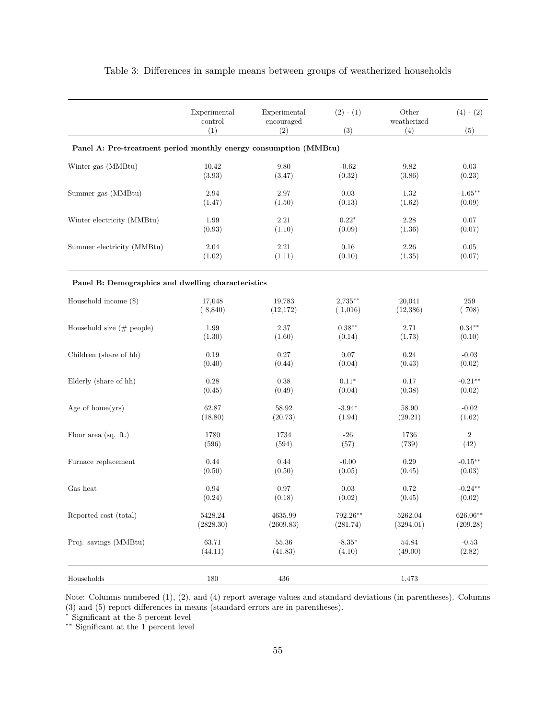|                                                                  | Experimental<br>control<br>(1) | Experimental<br>encouraged<br>(2) | $(2) - (1)$<br>(3) | Other<br>weatherized<br>(4) | $(4) - (2)$<br>(5) |
|------------------------------------------------------------------|--------------------------------|-----------------------------------|--------------------|-----------------------------|--------------------|
| Panel A: Pre-treatment period monthly energy consumption (MMBtu) |                                |                                   |                    |                             |                    |
| Winter gas (MMBtu)                                               | 10.42                          | $9.80\,$                          | $-0.62$            | 9.82                        | $\rm 0.03$         |
|                                                                  | (3.93)                         | (3.47)                            | (0.32)             | (3.86)                      | (0.23)             |
| Summer gas (MMBtu)                                               | 2.94                           | 2.97                              | 0.03               | 1.32                        | $-1.65***$         |
|                                                                  | (1.47)                         | (1.50)                            | (0.13)             | (1.62)                      | (0.09)             |
| Winter electricity (MMBtu)                                       | 1.99                           | $2.21\,$                          | $0.22*$            | 2.28                        | 0.07               |
|                                                                  | (0.93)                         | (1.10)                            | (0.09)             | (1.36)                      | (0.07)             |
| Summer electricity (MMBtu)                                       | 2.04                           | $2.21\,$                          | 0.16               | 2.26                        | $0.05\,$           |
|                                                                  | (1.02)                         | (1.11)                            | (0.10)             | (1.35)                      | (0.07)             |
| Panel B: Demographics and dwelling characteristics               |                                |                                   |                    |                             |                    |
| Household income $(\$)$                                          | 17,048                         | 19,783                            | $2,735**$          | 20,041                      | 259                |
|                                                                  | (8,840)                        | (12, 172)                         | (1,016)            | (12, 386)                   | (708)              |
| Household size $(\# \text{ people})$                             | 1.99                           | $2.37\,$                          | $0.38**$           | 2.71                        | $0.34**$           |
|                                                                  | (1.30)                         | (1.60)                            | (0.14)             | (1.73)                      | (0.10)             |
| Children (share of hh)                                           | 0.19                           | 0.27                              | 0.07               | 0.24                        | $-0.03$            |
|                                                                  | (0.40)                         | (0.44)                            | (0.04)             | (0.43)                      | (0.02)             |
| Elderly (share of hh)                                            | 0.28                           | $0.38\,$                          | $0.11*$            | 0.17                        | $-0.21**$          |
|                                                                  | (0.45)                         | (0.49)                            | (0.04)             | (0.38)                      | (0.02)             |
| Age of home(yrs)                                                 | 62.87                          | 58.92                             | $-3.94*$           | 58.90                       | $-0.02$            |
|                                                                  | (18.80)                        | (20.73)                           | (1.94)             | (29.21)                     | (1.62)             |
| Floor area $(sq. ft.)$                                           | $1780\,$                       | 1734                              | $-26$              | 1736                        | $\sqrt{2}$         |
|                                                                  | (596)                          | (594)                             | (57)               | (739)                       | (42)               |
| Furnace replacement                                              | 0.44                           | 0.44                              | $-0.00$            | $0.29\,$                    | $-0.15***$         |
|                                                                  | (0.50)                         | (0.50)                            | (0.05)             | (0.45)                      | (0.03)             |
| Gas heat                                                         | 0.94                           | 0.97                              | 0.03               | 0.72                        | $-0.24**$          |
|                                                                  | (0.24)                         | (0.18)                            | (0.02)             | (0.45)                      | (0.02)             |
| Reported cost (total)                                            | 5428.24                        | 4635.99                           | $-792.26**$        | 5262.04                     | 626.06**           |
|                                                                  | (2828.30)                      | (2609.83)                         | (281.74)           | (3294.01)                   | (209.28)           |
| Proj. savings (MMBtu)                                            | 63.71                          | 55.36                             | $-8.35*$           | 54.84                       | $-0.53$            |
|                                                                  | (44.11)                        | (41.83)                           | (4.10)             | (49.00)                     | (2.82)             |
| Households                                                       | 180                            | 436                               |                    | 1,473                       |                    |

Table 3: Differences in sample means between groups of weatherized households

Note: Columns numbered (1), (2), and (4) report average values and standard deviations (in parentheses). Columns (3) and (5) report differences in means (standard errors are in parentheses).

<sup>∗</sup> Significant at the 5 percent level